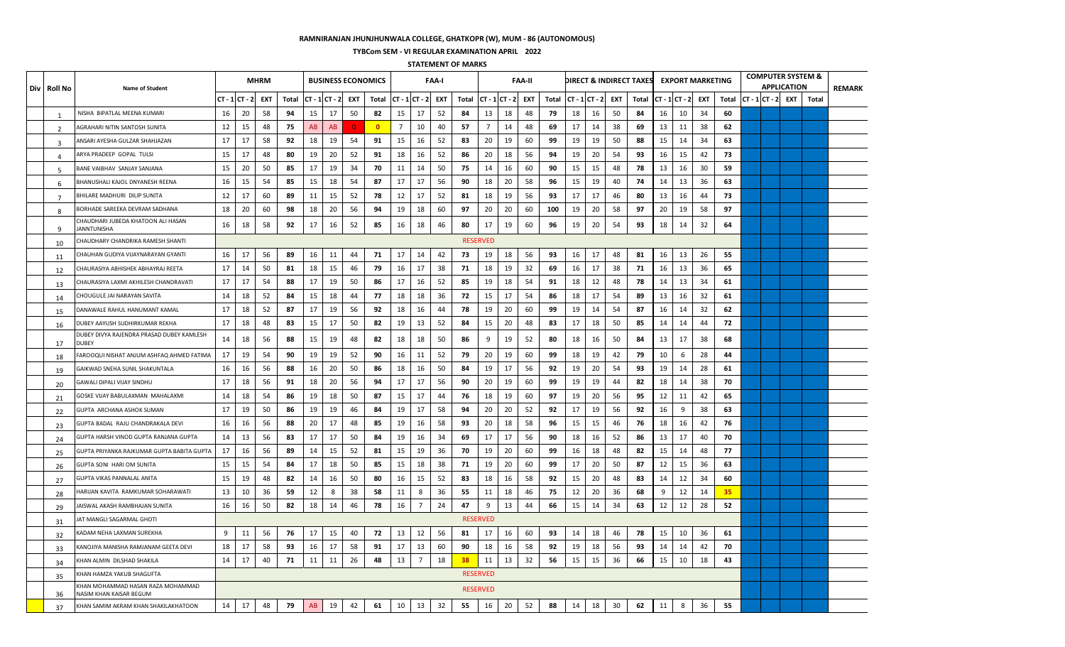## **RAMNIRANJAN JHUNJHUNWALA COLLEGE, GHATKOPR (W), MUM - 86 (AUTONOMOUS)**

**TYBCom SEM - VI REGULAR EXAMINATION APRIL 2022**

**STATEMENT OF MARKS**

| Div | Roll No        | Name of Student                                              |                |    | <b>MHRM</b> |       |                  |           |            | <b>BUSINESS ECONOMICS</b> |                |                | <b>FAA-I</b> |       |                 |                       | <b>FAA-II</b> |       |    |                |            | DIRECT & INDIRECT TAXES EXPORT MARKETING |    |                |     |       |  | <b>APPLICATION</b> | <b>COMPUTER SYSTEM &amp;</b>  | <b>REMARK</b> |
|-----|----------------|--------------------------------------------------------------|----------------|----|-------------|-------|------------------|-----------|------------|---------------------------|----------------|----------------|--------------|-------|-----------------|-----------------------|---------------|-------|----|----------------|------------|------------------------------------------|----|----------------|-----|-------|--|--------------------|-------------------------------|---------------|
|     |                |                                                              | $CT - 1CT - 2$ |    | <b>EXT</b>  | Total | $CT - 1 CT - 2 $ |           | <b>EXT</b> | Total                     |                | $CT - 1CT - 2$ | <b>EXT</b>   | Total |                 | $CT - 1$ $CT - 2$ EXT |               | Total |    | $CT - 1CT - 2$ | <b>EXT</b> | Total                                    |    | $CT - 1CT - 2$ | EXT | Total |  |                    | $ CT - 1 CT - 2 $ EXT   Total |               |
|     | -1             | NISHA BIPATLAL MEENA KUMARI                                  | 16             | 20 | 58          | 94    | 15               | 17        | 50         | 82                        | 15             | 17             | 52           | 84    | 13              | 18                    | 48            | 79    | 18 | 16             | 50         | 84                                       | 16 | 10             | 34  | 60    |  |                    |                               |               |
|     | 2              | AGRAHARI NITIN SANTOSH SUNITA                                | 12             | 15 | 48          | 75    | AB               | <b>AB</b> | $\Omega$   | $\mathbf{0}$              | $\overline{7}$ | 10             | 40           | -57   | $\overline{7}$  | 14                    | 48            | 69    | 17 | 14             | 38         | 69                                       | 13 | 11             | 38  | 62    |  |                    |                               |               |
|     | 3              | ANSARI AYESHA GULZAR SHAHJAZAN                               | 17             | 17 | 58          | 92    | 18               | 19        | 54         | 91                        | 15             | 16             | 52           | 83    | 20              | 19                    | 60            | 99    | 19 | 19             | 50         | 88                                       | 15 | 14             | 34  | 63    |  |                    |                               |               |
|     | $\overline{a}$ | ARYA PRADEEP GOPAL TULSI                                     | 15             | 17 | 48          | 80    | 19               | 20        | 52         | 91                        | 18             | 16             | 52           | 86    | 20              | 18                    | 56            | 94    | 19 | 20             | 54         | 93                                       | 16 | 15             | 42  | 73    |  |                    |                               |               |
|     | 5              | BANE VAIBHAV SANJAY SANJANA                                  | 15             | 20 | 50          | 85    | 17               | 19        | 34         | 70                        | 11             | 14             | 50           | 75    | 14              | 16                    | 60            | 90    | 15 | 15             | 48         | 78                                       | 13 | 16             | 30  | 59    |  |                    |                               |               |
|     | 6              | BHANUSHALI KAJOL DNYANESH REENA                              | 16             | 15 | 54          | 85    | 15               | 18        | 54         | 87                        | 17             | 17             | 56           | 90    | 18              | 20                    | 58            | 96    | 15 | 19             | 40         | 74                                       | 14 | 13             | 36  | 63    |  |                    |                               |               |
|     | $\overline{7}$ | BHILARE MADHURI DILIP SUNITA                                 | 12             | 17 | 60          | 89    | 11               | 15        | 52         | 78                        | 12             | 17             | 52           | 81    | 18              | 19                    | 56            | 93    | 17 | 17             | 46         | 80                                       | 13 | 16             | 44  | 73    |  |                    |                               |               |
|     | 8              | BORHADE SAREEKA DEVRAM SADHANA                               | 18             | 20 | 60          | 98    | 18               | 20        | 56         | 94                        | 19             | 18             | 60           | 97    | 20              | 20                    | 60            | 100   | 19 | 20             | 58         | 97                                       | 20 | 19             | 58  | 97    |  |                    |                               |               |
|     | 9              | CHAUDHARI JUBEDA KHATOON ALI HASAN<br>JANNTUNISHA            | 16             | 18 | 58          | 92    | 17               | 16        | 52         | 85                        | 16             | 18             | 46           | 80    | 17              | 19                    | 60            | 96    | 19 | 20             | 54         | 93                                       | 18 | 14             | 32  | 64    |  |                    |                               |               |
|     | 10             | CHAUDHARY CHANDRIKA RAMESH SHANTI                            |                |    |             |       |                  |           |            |                           |                |                |              |       | <b>RESERVED</b> |                       |               |       |    |                |            |                                          |    |                |     |       |  |                    |                               |               |
|     | 11             | CHAUHAN GUDIYA VIJAYNARAYAN GYANTI                           | 16             | 17 | 56          | 89    | 16               | 11        | 44         | 71                        | 17             | 14             | 42           | 73    | 19              | 18                    | 56            | 93    | 16 | 17             | 48         | 81                                       | 16 | 13             | 26  | 55    |  |                    |                               |               |
|     | 12             | CHAURASIYA ABHISHEK ABHAYRAJ REETA                           | 17             | 14 | 50          | 81    | 18               | 15        | 46         | 79                        | 16             | 17             | 38           | 71    | 18              | 19                    | 32            | 69    | 16 | 17             | 38         | 71                                       | 16 | 13             | 36  | 65    |  |                    |                               |               |
|     | 13             | CHAURASIYA LAXMI AKHILESH CHANDRAVATI                        | 17             | 17 | 54          | 88    | 17               | 19        | 50         | 86                        | 17             | 16             | 52           | 85    | 19              | 18                    | 54            | 91    | 18 | 12             | 48         | 78                                       | 14 | 13             | 34  | 61    |  |                    |                               |               |
|     | 14             | CHOUGULE JAI NARAYAN SAVITA                                  | 14             | 18 | 52          | 84    | 15               | 18        | 44         | 77                        | 18             | 18             | 36           | 72    | 15              | 17                    | 54            | 86    | 18 | 17             | 54         | 89                                       | 13 | 16             | 32  | 61    |  |                    |                               |               |
|     | 15             | DANAWALE RAHUL HANUMANT KAMAL                                | 17             | 18 | 52          | 87    | 17               | 19        | 56         | 92                        | 18             | 16             | 44           | 78    | 19              | 20                    | 60            | 99    | 19 | 14             | 54         | 87                                       | 16 | 14             | 32  | 62    |  |                    |                               |               |
|     | 16             | DUBEY AAYUSH SUDHIRKUMAR REKHA                               | 17             | 18 | 48          | 83    | 15               | 17        | 50         | 82                        | 19             | 13             | 52           | 84    | 15              | 20                    | 48            | 83    | 17 | 18             | 50         | 85                                       | 14 | 14             | 44  | 72    |  |                    |                               |               |
|     | 17             | DUBEY DIVYA RAJENDRA PRASAD DUBEY KAMLESH<br>DUBEY           | 14             | 18 | 56          | 88    | 15               | 19        | 48         | 82                        | 18             | 18             | 50           | 86    | 9               | 19                    | 52            | 80    | 18 | 16             | 50         | 84                                       | 13 | 17             | 38  | 68    |  |                    |                               |               |
|     | 18             | AROOQUI NISHAT ANJUM ASHFAQ AHMED FATIMA                     | 17             | 19 | 54          | 90    | 19               | 19        | 52         | 90                        | 16             | 11             | 52           | 79    | 20              | 19                    | 60            | 99    | 18 | 19             | 42         | 79                                       | 10 | 6              | 28  | 44    |  |                    |                               |               |
|     | 19             | GAIKWAD SNEHA SUNIL SHAKUNTALA                               | 16             | 16 | 56          | 88    | 16               | 20        | 50         | 86                        | 18             | 16             | 50           | 84    | 19              | 17                    | 56            | 92    | 19 | 20             | 54         | 93                                       | 19 | 14             | 28  | 61    |  |                    |                               |               |
|     | 20             | GAWALI DIPALI VIJAY SINDHU                                   | 17             | 18 | 56          | 91    | 18               | 20        | 56         | 94                        | 17             | 17             | 56           | 90    | 20              | 19                    | 60            | 99    | 19 | 19             | 44         | 82                                       | 18 | 14             | 38  | 70    |  |                    |                               |               |
|     | 21             | GOSKE VIJAY BABULAXMAN MAHALAXMI                             | 14             | 18 | 54          | 86    | 19               | 18        | 50         | 87                        | 15             | 17             | 44           | 76    | 18              | 19                    | 60            | 97    | 19 | 20             | 56         | 95                                       | 12 | 11             | 42  | 65    |  |                    |                               |               |
|     | 22             | GUPTA ARCHANA ASHOK SUMAN                                    | 17             | 19 | 50          | 86    | 19               | 19        | 46         | 84                        | 19             | 17             | 58           | 94    | 20              | 20                    | 52            | 92    | 17 | 19             | 56         | 92                                       | 16 | 9              | 38  | 63    |  |                    |                               |               |
|     | 23             | GUPTA BADAL RAJU CHANDRAKALA DEVI                            | 16             | 16 | 56          | 88    | 20               | 17        | 48         | 85                        | 19             | 16             | 58           | 93    | 20              | 18                    | 58            | 96    | 15 | 15             | 46         | - 76                                     | 18 | 16             | 42  | 76    |  |                    |                               |               |
|     | 24             | GUPTA HARSH VINOD GUPTA RANJANA GUPTA                        | 14             | 13 | 56          | 83    | 17               | 17        | 50         | 84                        | 19             | 16             | 34           | 69    | 17              | 17                    | 56            | 90    | 18 | 16             | 52         | 86                                       | 13 | 17             | 40  | 70    |  |                    |                               |               |
|     | 25             | GUPTA PRIYANKA RAJKUMAR GUPTA BABITA GUPTA                   | 17             | 16 | 56          | 89    | 14               | 15        | 52         | 81                        | 15             | 19             | 36           | 70    | 19              | 20                    | 60            | 99    | 16 | 18             | 48         | 82                                       | 15 | 14             | 48  | 77    |  |                    |                               |               |
|     | 26             | GUPTA SONI HARI OM SUNITA                                    | 15             | 15 | 54          | 84    | 17               | 18        | 50         | 85                        | 15             | 18             | 38           | 71    | 19              | 20                    | 60            | 99    | 17 | 20             | 50         | 87                                       | 12 | 15             | 36  | 63    |  |                    |                               |               |
|     | 27             | GUPTA VIKAS PANNALAL ANITA                                   | 15             | 19 | 48          | 82    | 14               | 16        | 50         | 80                        | 16             | 15             | 52           | 83    | 18              | 16                    | 58            | 92    | 15 | 20             | 48         | 83                                       | 14 | 12             | 34  | 60    |  |                    |                               |               |
|     | 28             | HARIJAN KAVITA RAMKUMAR SOHARAWATI                           | 13             | 10 | 36          | 59    | 12               | 8         | 38         | 58                        | 11             | 8              | 36           | 55    | 11              | 18                    | 46            | 75    | 12 | 20             | 36         | 68                                       | 9  | 12             | 14  | 35    |  |                    |                               |               |
|     | 29             | IAISWAL AKASH RAMBHAJAN SUNITA                               | 16             | 16 | 50          | 82    | 18               | 14        | 46         | 78                        | 16             | 7              | 24           | 47    | 9               | 13                    | 44            | 66    | 15 | 14             | 34         | 63                                       | 12 | 12             | 28  | 52    |  |                    |                               |               |
|     | 31             | JAT MANGLI SAGARMAL GHOTI                                    |                |    |             |       |                  |           |            |                           |                |                |              |       | <b>RESERVED</b> |                       |               |       |    |                |            |                                          |    |                |     |       |  |                    |                               |               |
|     | 32             | KADAM NEHA LAXMAN SUREKHA                                    | 9              | 11 | 56          | 76    | 17               | 15        | 40         | 72                        | 13             | 12             | 56           | 81    | 17              | 16                    | 60            | 93    | 14 | 18             | 46         | 78                                       | 15 | 10             | 36  | 61    |  |                    |                               |               |
|     | 33             | KANOJIYA MANISHA RAMJANAM GEETA DEVI                         | 18             | 17 | 58          | 93    | 16               | 17        | 58         | 91                        | 17             | 13             | 60           | 90    | 18              | 16                    | 58            | 92    | 19 | 18             | 56         | 93                                       | 14 | 14             | 42  | 70    |  |                    |                               |               |
|     | 34             | KHAN ALMIN DILSHAD SHAKILA                                   | 14             | 17 | 40          | 71    | 11               | 11        | 26         | 48                        | 13             | $\overline{7}$ | 18           | 38    | 11              | 13                    | 32            | 56    | 15 | 15             | 36         | 66                                       | 15 | 10             | 18  | 43    |  |                    |                               |               |
|     | 35             | KHAN HAMZA YAKUB SHAGUFTA                                    |                |    |             |       |                  |           |            |                           |                |                |              |       | <b>RESERVED</b> |                       |               |       |    |                |            |                                          |    |                |     |       |  |                    |                               |               |
|     | 36             | KHAN MOHAMMAD HASAN RAZA MOHAMMAD<br>NASIM KHAN KAISAR BEGUM |                |    |             |       |                  |           |            |                           |                |                |              |       | <b>RESERVED</b> |                       |               |       |    |                |            |                                          |    |                |     |       |  |                    |                               |               |
|     | 37             | KHAN SAMIM AKRAM KHAN SHAKILAKHATOON                         | 14             | 17 | 48          | 79    | AB               | 19        | 42         | 61                        | 10             | 13             | 32           | 55    | 16              | 20                    | 52            | 88    | 14 | 18             | 30         | 62                                       | 11 | 8              | 36  | 55    |  |                    |                               |               |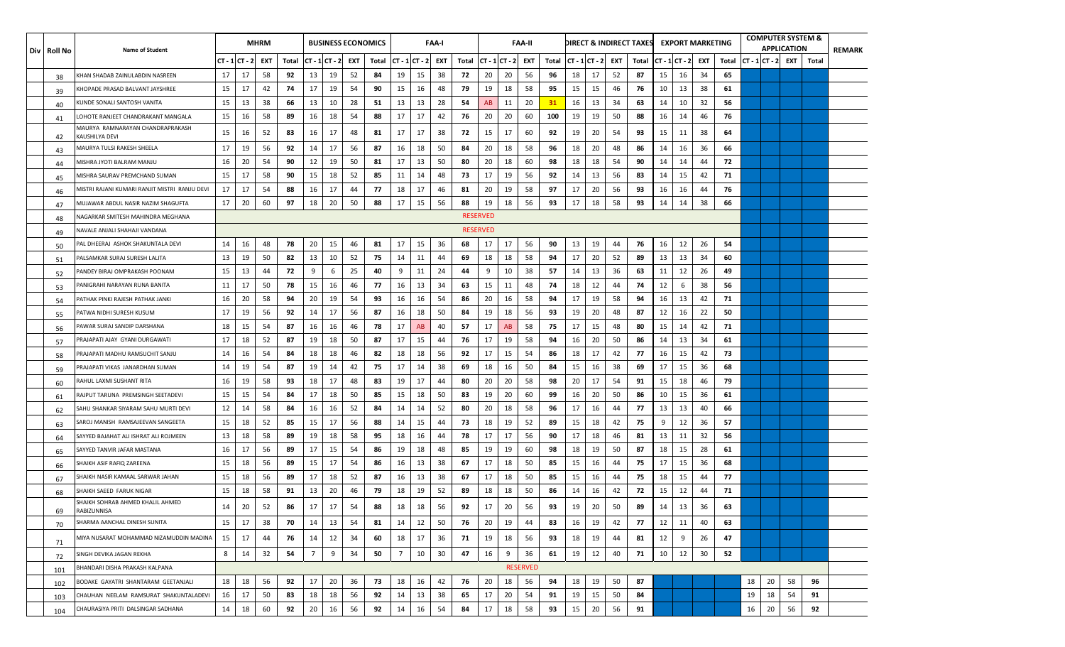| Div   Roll No | <b>Name of Student</b>                             |    |                | <b>MHRM</b> |       |                |    |     | <b>BUSINESS ECONOMICS</b> |                |    | <b>FAA-I</b> |       |                 |                | <b>FAA-II</b>   |                             |    |     |    | DIRECT & INDIRECT TAXES |    | <b>EXPORT MARKETING</b> |     |       |    |    | <b>APPLICATION</b> | <b>COMPUTER SYSTEM &amp;</b>  | <b>REMARK</b> |
|---------------|----------------------------------------------------|----|----------------|-------------|-------|----------------|----|-----|---------------------------|----------------|----|--------------|-------|-----------------|----------------|-----------------|-----------------------------|----|-----|----|-------------------------|----|-------------------------|-----|-------|----|----|--------------------|-------------------------------|---------------|
|               |                                                    |    | $CT - 1CT - 2$ | EXT         | Total | $CT - 1CT - 2$ |    | EXT | Total                     | $CT - 1CT - 2$ |    | EXT          | Total |                 | $CT - 1CT - 2$ | EXT             | Total $ CT - 1 CT - 2 $ EXT |    |     |    | Total                   |    | $CT - 1CT - 2$          | EXT | Total |    |    |                    | $ CT - 1 CT - 2 $ EXT   Total |               |
| 38            | KHAN SHADAB ZAINULABDIN NASREEN                    | 17 | 17             | 58          | 92    | 13             | 19 | 52  | 84                        | 19             | 15 | 38           | 72    | 20              | 20             | 56              | 96                          | 18 | 17  | 52 | 87                      | 15 | 16                      | 34  | 65    |    |    |                    |                               |               |
| 39            | KHOPADE PRASAD BALVANT JAYSHREE                    | 15 | 17             | 42          | 74    | 17             | 19 | 54  | 90                        | 15             | 16 | 48           | 79    | 19              | 18             | 58              | 95                          | 15 | 15  | 46 | 76                      | 10 | 13                      | 38  | 61    |    |    |                    |                               |               |
| 40            | KUNDE SONALI SANTOSH VANITA                        | 15 | 13             | 38          | 66    | 13             | 10 | 28  | 51                        | 13             | 13 | 28           | 54    | AB              | 11             | 20              | 31                          | 16 | 13  | 34 | 63                      | 14 | 10                      | 32  | 56    |    |    |                    |                               |               |
| 41            | LOHOTE RANJEET CHANDRAKANT MANGALA                 | 15 | 16             | 58          | 89    | 16             | 18 | 54  | 88                        | 17             | 17 | 42           | 76    | 20              | 20             | 60              | 100                         | 19 | 19  | 50 | 88                      | 16 | 14                      | 46  | 76    |    |    |                    |                               |               |
| 42            | MAURYA RAMNARAYAN CHANDRAPRAKASH<br>KAUSHILYA DEVI | 15 | 16             | 52          | 83    | 16             | 17 | 48  | 81                        | 17             | 17 | 38           | 72    | 15              | 17             | 60              | 92                          | 19 | 20  | 54 | 93                      | 15 | 11                      | 38  | 64    |    |    |                    |                               |               |
| 43            | MAURYA TULSI RAKESH SHEELA                         | 17 | 19             | 56          | 92    | 14             | 17 | 56  | 87                        | 16             | 18 | 50           | 84    | 20              | 18             | 58              | 96                          | 18 | 20  | 48 | 86                      | 14 | 16                      | 36  | 66    |    |    |                    |                               |               |
| 44            | MISHRA JYOTI BALRAM MANJU                          | 16 | 20             | 54          | 90    | 12             | 19 | 50  | 81                        | 17             | 13 | 50           | 80    | 20              | 18             | 60              | 98                          | 18 | 18  | 54 | 90                      | 14 | 14                      | 44  | 72    |    |    |                    |                               |               |
| 45            | MISHRA SAURAV PREMCHAND SUMAN                      | 15 | 17             | 58          | 90    | 15             | 18 | 52  | 85                        | 11             | 14 | 48           | 73    | 17              | 19             | 56              | 92                          | 14 | 13  | 56 | 83                      | 14 | 15                      | 42  | 71    |    |    |                    |                               |               |
| 46            | MISTRI RAJANI KUMARI RANJIT MISTRI RANJU DEVI      | 17 | 17             | 54          | 88    | 16             | 17 | 44  | 77                        | 18             | 17 | 46           | 81    | 20              | 19             | 58              | 97                          | 17 | -20 | 56 | 93                      | 16 | 16                      | 44  | 76    |    |    |                    |                               |               |
| 47            | MUJAWAR ABDUL NASIR NAZIM SHAGUFTA                 | 17 | 20             | 60          | 97    | 18             | 20 | 50  | 88                        | 17             | 15 | 56           | 88    | 19              | 18             | 56              | 93                          | 17 | 18  | 58 | 93                      | 14 | 14                      | 38  | 66    |    |    |                    |                               |               |
| 48            | NAGARKAR SMITESH MAHINDRA MEGHANA                  |    |                |             |       |                |    |     |                           |                |    |              |       | <b>RESERVED</b> |                |                 |                             |    |     |    |                         |    |                         |     |       |    |    |                    |                               |               |
| 49            | NAVALE ANJALI SHAHAJI VANDANA                      |    |                |             |       |                |    |     |                           |                |    |              |       | <b>RESERVED</b> |                |                 |                             |    |     |    |                         |    |                         |     |       |    |    |                    |                               |               |
| 50            | PAL DHEERAJ ASHOK SHAKUNTALA DEVI                  | 14 | 16             | 48          | 78    | 20             | 15 | 46  | 81                        | 17             | 15 | 36           | 68    | 17              | 17             | 56              | 90                          | 13 | 19  | 44 | 76                      | 16 | 12                      | 26  | 54    |    |    |                    |                               |               |
| 51            | PALSAMKAR SURAJ SURESH LALITA                      | 13 | 19             | 50          | 82    | 13             | 10 | 52  | 75                        | 14             | 11 | 44           | 69    | 18              | 18             | 58              | 94                          | 17 | -20 | 52 | 89                      | 13 | 13                      | 34  | 60    |    |    |                    |                               |               |
| 52            | PANDEY BIRAJ OMPRAKASH POONAM                      | 15 | 13             | 44          | 72    | 9              | 6  | 25  | 40                        | 9              | 11 | 24           | 44    | 9               | 10             | 38              | 57                          | 14 | 13  | 36 | 63                      | 11 | 12                      | 26  | 49    |    |    |                    |                               |               |
| 53            | PANIGRAHI NARAYAN RUNA BANITA                      | 11 | 17             | 50          | 78    | 15             | 16 | 46  | 77                        | 16             | 13 | 34           | 63    | 15              | 11             | 48              | 74                          | 18 | 12  | 44 | 74                      | 12 | 6                       | 38  | 56    |    |    |                    |                               |               |
| 54            | PATHAK PINKI RAJESH PATHAK JANKI                   | 16 | 20             | 58          | 94    | 20             | 19 | 54  | 93                        | 16             | 16 | 54           | 86    | 20              | 16             | 58              | 94                          | 17 | 19  | 58 | 94                      | 16 | 13                      | 42  | 71    |    |    |                    |                               |               |
| 55            | PATWA NIDHI SURESH KUSUM                           | 17 | 19             | 56          | 92    | 14             | 17 | 56  | 87                        | 16             | 18 | 50           | 84    | 19              | 18             | 56              | 93                          | 19 | 20  | 48 | 87                      | 12 | 16                      | 22  | 50    |    |    |                    |                               |               |
| 56            | PAWAR SURAJ SANDIP DARSHANA                        | 18 | 15             | 54          | 87    | 16             | 16 | 46  | 78                        | 17             | AB | 40           | 57    | 17              | AB             | 58              | 75                          | 17 | 15  | 48 | 80                      | 15 | 14                      | 42  | 71    |    |    |                    |                               |               |
| 57            | PRAJAPATI AJAY GYANI DURGAWATI                     | 17 | 18             | 52          | 87    | 19             | 18 | 50  | 87                        | 17             | 15 | 44           | 76    | 17              | 19             | 58              | 94                          | 16 | 20  | 50 | 86                      | 14 | 13                      | 34  | 61    |    |    |                    |                               |               |
| 58            | PRAJAPATI MADHU RAMSUCHIT SANJU                    | 14 | 16             | 54          | 84    | 18             | 18 | 46  | 82                        | 18             | 18 | 56           | 92    | 17              | 15             | 54              | 86                          | 18 | 17  | 42 | 77                      | 16 | 15                      | 42  | 73    |    |    |                    |                               |               |
| 59            | PRAJAPATI VIKAS JANARDHAN SUMAN                    | 14 | 19             | 54          | 87    | 19             | 14 | 42  | 75                        | 17             | 14 | 38           | 69    | 18              | 16             | 50              | 84                          | 15 | 16  | 38 | 69                      | 17 | 15                      | 36  | 68    |    |    |                    |                               |               |
| 60            | RAHUL LAXMI SUSHANT RITA                           | 16 | 19             | 58          | 93    | 18             | 17 | 48  | 83                        | 19             | 17 | 44           | 80    | 20              | 20             | 58              | 98                          | 20 | 17  | 54 | 91                      | 15 | 18                      | 46  | 79    |    |    |                    |                               |               |
| 61            | RAJPUT TARUNA PREMSINGH SEETADEVI                  | 15 | 15             | 54          | 84    | 17             | 18 | 50  | 85                        | 15             | 18 | 50           | 83    | 19              | 20             | 60              | 99                          | 16 | -20 | 50 | 86                      | 10 | 15                      | 36  | 61    |    |    |                    |                               |               |
| 62            | SAHU SHANKAR SIYARAM SAHU MURTI DEVI               | 12 | 14             | 58          | 84    | 16             | 16 | 52  | 84                        | 14             | 14 | 52           | 80    | 20              | 18             | 58              | 96                          | 17 | 16  | 44 | 77                      | 13 | 13                      | 40  | 66    |    |    |                    |                               |               |
| 63            | SAROJ MANISH RAMSAJEEVAN SANGEETA                  | 15 | 18             | 52          | 85    | 15             | 17 | 56  | 88                        | 14             | 15 | 44           | 73    | 18              | 19             | 52              | 89                          | 15 | 18  | 42 | 75                      | 9  | 12                      | 36  | 57    |    |    |                    |                               |               |
| -64           | SAYYED BAJAHAT ALI ISHRAT ALI ROJMEEN              | 13 | 18             | 58          | 89    | 19             | 18 | 58  | 95                        | 18             | 16 | 44           | 78    | 17              | 17             | 56              | 90                          | 17 | 18  | 46 | 81                      | 13 | 11                      | 32  | 56    |    |    |                    |                               |               |
| 65            | SAYYED TANVIR JAFAR MASTANA                        | 16 | 17             | 56          | 89    | 17             | 15 | 54  | 86                        | 19             | 18 | 48           | 85    | 19              | 19             | 60              | 98                          | 18 | 19  | 50 | 87                      | 18 | 15                      | 28  | 61    |    |    |                    |                               |               |
| 66            | SHAIKH ASIF RAFIQ ZAREENA                          | 15 | 18             | 56          | 89    | 15             | 17 | 54  | 86                        | 16             | 13 | 38           | 67    | 17              | 18             | 50              | 85                          | 15 | 16  | 44 | 75                      | 17 | 15                      | 36  | 68    |    |    |                    |                               |               |
| 67            | SHAIKH NASIR KAMAAL SARWAR JAHAN                   | 15 | 18             | 56          | 89    | 17             | 18 | 52  | 87                        | 16             | 13 | 38           | 67    | 17              | 18             | 50              | 85                          | 15 | 16  | 44 | 75                      | 18 | 15                      | 44  | 77    |    |    |                    |                               |               |
| 68            | SHAIKH SAEED FARUK NIGAR                           | 15 | 18             | 58          | 91    | 13             | 20 | 46  | 79                        | 18             | 19 | 52           | 89    | 18              | 18             | 50              | 86                          | 14 | 16  | 42 | 72                      | 15 | 12                      | 44  | 71    |    |    |                    |                               |               |
| 69            | SHAIKH SOHRAB AHMED KHALIL AHMED<br>RABIZUNNISA    | 14 | 20             | 52          | 86    | 17             | 17 |     | 88                        | 18             | 18 | 56           | 92    | $\frac{1}{2}$   | 20             | 56              | 93                          | 19 | 20  | 50 | 89                      | 14 | 13                      | 36  | 63    |    |    |                    |                               |               |
| 70            | SHARMA AANCHAL DINESH SUNITA                       | 15 | 17             | 38          | 70    | 14             | 13 | 54  | 81                        | 14             | 12 | 50           | 76    | 20              | 19             | 44              | 83                          | 16 | 19  | 42 | 77                      | 12 | 11                      | 40  | 63    |    |    |                    |                               |               |
| 71            | MIYA NUSARAT MOHAMMAD NIZAMUDDIN MADINA            | 15 | 17             | 44          | 76    | 14             | 12 | 34  | 60                        | 18             | 17 | 36           | 71    | 19              | 18             | 56              | 93                          | 18 | 19  | 44 | 81                      | 12 | 9                       | 26  | 47    |    |    |                    |                               |               |
| 72            | SINGH DEVIKA JAGAN REKHA                           | 8  | 14             | 32          | 54    | $\overline{7}$ | 9  | 34  | 50                        | $\overline{7}$ | 10 | 30           | 47    | 16              | 9              | 36              | 61                          | 19 | 12  | 40 | 71                      | 10 | 12                      | 30  | 52    |    |    |                    |                               |               |
| 101           | BHANDARI DISHA PRAKASH KALPANA                     |    |                |             |       |                |    |     |                           |                |    |              |       |                 |                | <b>RESERVED</b> |                             |    |     |    |                         |    |                         |     |       |    |    |                    |                               |               |
| 102           | BODAKE GAYATRI SHANTARAM GEETANJALI                | 18 | 18             | 56          | 92    | 17             | 20 | 36  | 73                        | 18             | 16 | 42           | 76    | 20              | 18             | 56              | 94                          | 18 | 19  | 50 | 87                      |    |                         |     |       | 18 | 20 | 58                 | 96                            |               |
| 103           | CHAUHAN NEELAM RAMSURAT SHAKUNTALADEVI             | 16 | 17             | 50          | 83    | 18             | 18 | 56  | 92                        | 14             | 13 | 38           | 65    | 17              | 20             | 54              | 91                          | 19 | 15  | 50 | 84                      |    |                         |     |       | 19 | 18 | 54                 | 91                            |               |
| 104           | CHAURASIYA PRITI DALSINGAR SADHANA                 | 14 | 18             | 60          | 92    | 20             | 16 | 56  | 92                        | 14             | 16 | 54           | 84    | 17              | 18             | 58              | 93                          | 15 | 20  | 56 | 91                      |    |                         |     |       | 16 | 20 | 56                 | 92                            |               |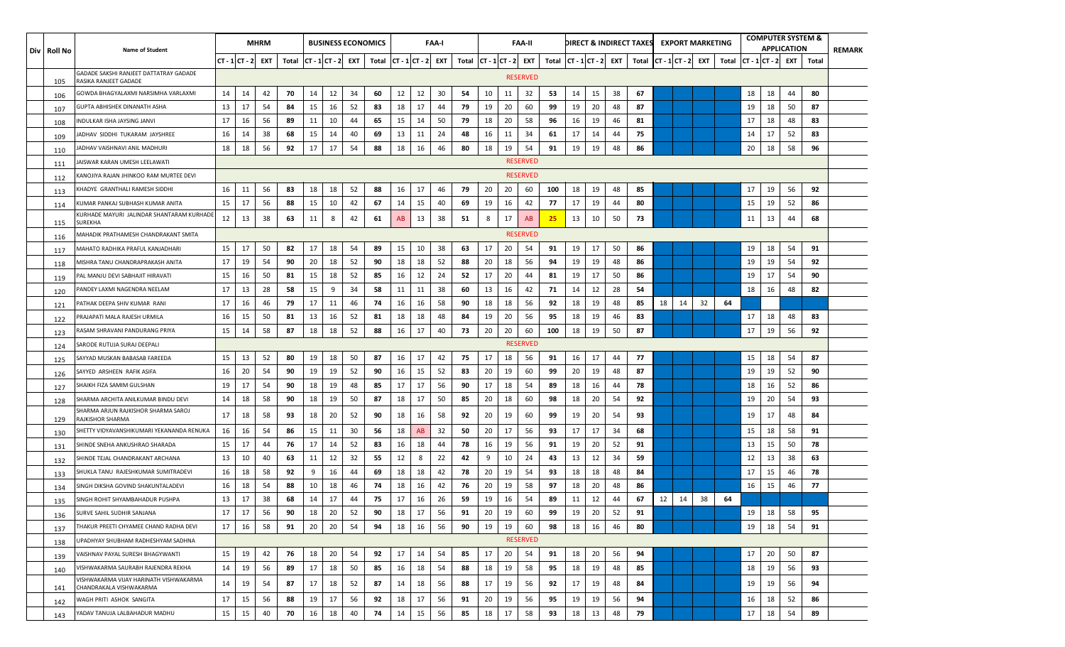| Div   Roll No | <b>Name of Student</b>                                            |                   |    | <b>MHRM</b> |                             |    |    |    | <b>BUSINESS ECONOMICS</b>   |    |    | <b>FAA-I</b> |    |                             |    | <b>FAA-II</b>   |     |                             |    |    | DIRECT & INDIRECT TAXES |    |    | <b>EXPORT MARKETING</b> |                         |    |    | <b>APPLICATION</b> | <b>COMPUTER SYSTEM &amp;</b> | <b>REMARK</b> |
|---------------|-------------------------------------------------------------------|-------------------|----|-------------|-----------------------------|----|----|----|-----------------------------|----|----|--------------|----|-----------------------------|----|-----------------|-----|-----------------------------|----|----|-------------------------|----|----|-------------------------|-------------------------|----|----|--------------------|------------------------------|---------------|
|               |                                                                   | $ CT - 1 CT - 2 $ |    | EXT         | Total $ CT - 1 CT - 2 $ EXT |    |    |    | Total $ CT - 1 CT - 2 $ EXT |    |    |              |    | Total $ CT - 1 CT - 2 $ EXT |    |                 |     | Total $ CT - 1 CT - 2 $ EXT |    |    | Total $ CT - 1 CT - 2 $ |    |    | EXT                     | Total $ CT - 1 CT - 2 $ |    |    | EXT                | Total                        |               |
| 105           | GADADE SAKSHI RANJEET DATTATRAY GADADE<br>RASIKA RANJEET GADADE   |                   |    |             |                             |    |    |    |                             |    |    |              |    |                             |    | <b>RESERVED</b> |     |                             |    |    |                         |    |    |                         |                         |    |    |                    |                              |               |
| 106           | GOWDA BHAGYALAXMI NARSIMHA VARLAXMI                               | 14                | 14 | 42          | 70                          | 14 | 12 | 34 | 60                          | 12 | 12 | 30           | 54 | 10                          | 11 | 32              | 53  | 14                          | 15 | 38 | 67                      |    |    |                         |                         | 18 | 18 | 44                 | 80                           |               |
| 107           | GUPTA ABHISHEK DINANATH ASHA                                      | 13                | 17 | 54          | 84                          | 15 | 16 | 52 | 83                          | 18 | 17 | 44           | 79 | 19                          | 20 | 60              | 99  | 19                          | 20 | 48 | 87                      |    |    |                         |                         | 19 | 18 | 50                 | 87                           |               |
| 108           | INDULKAR ISHA JAYSING JANVI                                       | 17                | 16 | 56          | 89                          | 11 | 10 | 44 | 65                          | 15 | 14 | 50           | 79 | 18                          | 20 | 58              | 96  | 16                          | 19 | 46 | 81                      |    |    |                         |                         | 17 | 18 | 48                 | 83                           |               |
| 109           | ADHAV SIDDHI TUKARAM JAYSHREE                                     | 16                | 14 | 38          | 68                          | 15 | 14 | 40 | 69                          | 13 | 11 | 24           | 48 | 16                          | 11 | -34             | 61  | 17                          | 14 | 44 | 75                      |    |    |                         |                         | 14 | 17 | 52                 | 83                           |               |
| 110           | ADHAV VAISHNAVI ANIL MADHURI                                      | 18                | 18 | 56          | 92                          | 17 | 17 | 54 | 88                          | 18 | 16 | 46           | 80 | 18                          | 19 | 54              | 91  | 19                          | 19 | 48 | 86                      |    |    |                         |                         | 20 | 18 | 58                 | 96                           |               |
| 111           | IAISWAR KARAN UMESH LEELAWATI                                     |                   |    |             |                             |    |    |    |                             |    |    |              |    |                             |    | <b>RESERVED</b> |     |                             |    |    |                         |    |    |                         |                         |    |    |                    |                              |               |
| 112           | KANOJIYA RAJAN JHINKOO RAM MURTEE DEVI                            |                   |    |             |                             |    |    |    |                             |    |    |              |    |                             |    | <b>RESERVED</b> |     |                             |    |    |                         |    |    |                         |                         |    |    |                    |                              |               |
| 113           | KHADYE GRANTHALI RAMESH SIDDHI                                    | 16                | 11 | 56          | 83                          | 18 | 18 | 52 | 88                          | 16 | 17 | 46           | 79 | 20                          | 20 | 60              | 100 | 18                          | 19 | 48 | 85                      |    |    |                         |                         | 17 | 19 | 56                 | 92                           |               |
| 114           | KUMAR PANKAJ SUBHASH KUMAR ANITA                                  | 15                | 17 | 56          | 88                          | 15 | 10 | 42 | 67                          | 14 | 15 | 40           | 69 | 19                          | 16 | 42              | -77 | 17                          | 19 | 44 | 80                      |    |    |                         |                         | 15 | 19 | 52                 | 86                           |               |
| 115           | KURHADE MAYURI JALINDAR SHANTARAM KURHADE<br>SUREKHA              | 12                | 13 | 38          | 63                          | 11 | 8  | 42 | 61                          | AB | 13 | 38           | 51 | 8                           | 17 | AB              | 25  | 13                          | 10 | 50 | 73                      |    |    |                         |                         | 11 | 13 | 44                 | 68                           |               |
| 116           | MAHADIK PRATHAMESH CHANDRAKANT SMITA                              |                   |    |             |                             |    |    |    |                             |    |    |              |    |                             |    | <b>RESERVED</b> |     |                             |    |    |                         |    |    |                         |                         |    |    |                    |                              |               |
| 117           | MAHATO RADHIKA PRAFUL KANJADHARI                                  | 15                | 17 | 50          | 82                          | 17 | 18 | 54 | 89                          | 15 | 10 | 38           | 63 | 17                          | 20 | 54              | 91  | 19                          | 17 | 50 | 86                      |    |    |                         |                         | 19 | 18 | 54                 | 91                           |               |
| 118           | VIISHRA TANU CHANDRAPRAKASH ANITA                                 | 17                | 19 | 54          | 90                          | 20 | 18 | 52 | 90                          | 18 | 18 | 52           | 88 | 20                          | 18 | 56              | 94  | 19                          | 19 | 48 | 86                      |    |    |                         |                         | 19 | 19 | 54                 | 92                           |               |
| 119           | PAL MANJU DEVI SABHAJIT HIRAVATI                                  | 15                | 16 | 50          | 81                          | 15 | 18 | 52 | 85                          | 16 | 12 | 24           | 52 | 17                          | 20 | 44              | 81  | 19                          | 17 | 50 | 86                      |    |    |                         |                         | 19 | 17 | 54                 | 90                           |               |
| 120           | PANDEY LAXMI NAGENDRA NEELAM                                      | 17                | 13 | 28          | 58                          | 15 | 9  | 34 | 58                          | 11 | 11 | 38           | 60 | 13                          | 16 | 42              | 71  | 14                          | 12 | 28 | 54                      |    |    |                         |                         | 18 | 16 | 48                 | 82                           |               |
| 121           | ATHAK DEEPA SHIV KUMAR RANI                                       | 17                | 16 | 46          | 79                          | 17 | 11 | 46 | 74                          | 16 | 16 | 58           | 90 | 18                          | 18 | 56              | 92  | 18                          | 19 | 48 | 85                      | 18 | 14 | 32                      | 64                      |    |    |                    |                              |               |
| 122           | PRAJAPATI MALA RAJESH URMILA                                      | 16                | 15 | 50          | 81                          | 13 | 16 | 52 | 81                          | 18 | 18 | 48           | 84 | 19                          | 20 | 56              | 95  | 18                          | 19 | 46 | 83                      |    |    |                         |                         | 17 | 18 | 48                 | 83                           |               |
| 123           | RASAM SHRAVANI PANDURANG PRIYA                                    | 15                | 14 | 58          | 87                          | 18 | 18 | 52 | 88                          | 16 | 17 | 40           | 73 | 20                          | 20 | 60              | 100 | 18                          | 19 | 50 | 87                      |    |    |                         |                         | 17 | 19 | 56                 | 92                           |               |
| 124           | SARODE RUTUJA SURAJ DEEPALI                                       |                   |    |             |                             |    |    |    |                             |    |    |              |    |                             |    | <b>RESERVED</b> |     |                             |    |    |                         |    |    |                         |                         |    |    |                    |                              |               |
| 125           | SAYYAD MUSKAN BABASAB FAREEDA                                     | 15                | 13 | 52          | 80                          | 19 | 18 | 50 | 87                          | 16 | 17 | 42           | 75 | 17                          | 18 | 56              | 91  | 16                          | 17 | 44 | 77                      |    |    |                         |                         | 15 | 18 | 54                 | 87                           |               |
| 126           | SAYYED ARSHEEN RAFIK ASIFA                                        | 16                | 20 | 54          | 90                          | 19 | 19 | 52 | 90                          | 16 | 15 | 52           | 83 | 20                          | 19 | 60              | 99  | 20                          | 19 | 48 | 87                      |    |    |                         |                         | 19 | 19 | 52                 | 90                           |               |
| 127           | SHAIKH FIZA SAMIM GULSHAN                                         | 19                | 17 | 54          | 90                          | 18 | 19 | 48 | 85                          | 17 | 17 | 56           | 90 | 17                          | 18 | 54              | 89  | 18                          | 16 | 44 | 78                      |    |    |                         |                         | 18 | 16 | 52                 | 86                           |               |
| 128           | SHARMA ARCHITA ANILKUMAR BINDU DEVI                               | 14                | 18 | 58          | 90                          | 18 | 19 | 50 | 87                          | 18 | 17 | 50           | 85 | 20                          | 18 | 60              | 98  | 18                          | 20 | 54 | 92                      |    |    |                         |                         | 19 | 20 | 54                 | 93                           |               |
| 129           | SHARMA ARJUN RAJKISHOR SHARMA SAROJ<br>RAJKISHOR SHARMA           | 17                | 18 | 58          | 93                          | 18 | 20 | 52 | 90                          | 18 | 16 | 58           | 92 | 20                          | 19 | 60              | 99  | 19                          | 20 | 54 | 93                      |    |    |                         |                         | 19 | 17 | 48                 | 84                           |               |
| 130           | SHETTY VIDYAVANSHIKUMARI YEKANANDA RENUKA                         | 16                | 16 | 54          | 86                          | 15 | 11 | 30 | 56                          | 18 | AB | 32           | 50 | 20                          | 17 | 56              | 93  | 17                          | 17 | 34 | 68                      |    |    |                         |                         | 15 | 18 | 58                 | 91                           |               |
| 131           | SHINDE SNEHA ANKUSHRAO SHARADA                                    | 15                | 17 | 44          | 76                          | 17 | 14 | 52 | 83                          | 16 | 18 | 44           | 78 | 16                          | 19 | 56              | 91  | 19                          | 20 | 52 | 91                      |    |    |                         |                         | 13 | 15 | 50                 | 78                           |               |
| 132           | SHINDE TEJAL CHANDRAKANT ARCHANA                                  | 13                | 10 | 40          | 63                          | 11 | 12 | 32 | 55                          | 12 | 8  | 22           | 42 | 9                           | 10 | 24              | 43  | 13                          | 12 | 34 | 59                      |    |    |                         |                         | 12 | 13 | 38                 | 63                           |               |
| 133           | SHUKLA TANU RAJESHKUMAR SUMITRADEVI                               | 16                | 18 | 58          | 92                          | 9  | 16 | 44 | 69                          | 18 | 18 | 42           | 78 | 20                          | 19 | 54              | 93  | 18                          | 18 | 48 | 84                      |    |    |                         |                         | 17 | 15 | 46                 | 78                           |               |
| 134           | SINGH DIKSHA GOVIND SHAKUNTALADEVI                                | 16                | 18 | 54          | 88                          | 10 | 18 | 46 | 74                          | 18 | 16 | 42           | 76 | 20                          | 19 | 58              | 97  | 18                          | 20 | 48 | 86                      |    |    |                         |                         | 16 | 15 | 46                 | 77                           |               |
| 135           | SINGH ROHIT SHYAMBAHADUR PUSHPA                                   | 13                | 17 | 38          | 68                          | 14 | 17 | 44 | 75                          | 17 | 16 | 26           | 59 | 19                          | 16 | 54              | 89  | 11                          | 12 | 44 | 67                      | 12 | 14 | 38                      | 64                      |    |    |                    |                              |               |
| 136           | SURVE SAHIL SUDHIR SANJANA                                        | 17                | 17 | 56          | 90                          | 18 | 20 | 52 | 90                          | 18 | 17 | 56           | 91 | 20                          | 19 | 60              | 99  | 19                          | 20 | 52 | 91                      |    |    |                         |                         | 19 | 18 | 58                 | 95                           |               |
| 137           | THAKUR PREETI CHYAMEE CHAND RADHA DEVI                            | 17                | 16 | 58          | 91                          | 20 | 20 | 54 | 94                          | 18 | 16 | 56           | 90 | 19                          | 19 | 60              | 98  | 18                          | 16 | 46 | 80                      |    |    |                         |                         | 19 | 18 | 54                 | 91                           |               |
| 138           | UPADHYAY SHUBHAM RADHESHYAM SADHNA                                |                   |    |             |                             |    |    |    |                             |    |    |              |    |                             |    | <b>RESERVED</b> |     |                             |    |    |                         |    |    |                         |                         |    |    |                    |                              |               |
| 139           | VAISHNAV PAYAL SURESH BHAGYWANTI                                  | 15                | 19 | 42          | 76                          | 18 | 20 | 54 | 92                          | 17 | 14 | 54           | 85 | 17                          | 20 | -54             | 91  | 18                          | 20 | 56 | 94                      |    |    |                         |                         | 17 | 20 | 50                 | 87                           |               |
| 140           | VISHWAKARMA SAURABH RAJENDRA REKHA                                | 14                | 19 | 56          | 89                          | 17 | 18 | 50 | 85                          | 16 | 18 | 54           | 88 | 18                          | 19 | 58              | 95  | 18                          | 19 | 48 | 85                      |    |    |                         |                         | 18 | 19 | 56                 | 93                           |               |
| 141           | VISHWAKARMA VIJAY HARINATH VISHWAKARMA<br>CHANDRAKALA VISHWAKARMA | 14                | 19 | 54          | 87                          | 17 | 18 | 52 | 87                          | 14 | 18 | 56           | 88 | 17                          | 19 | 56              | 92  | 17                          | 19 | 48 | 84                      |    |    |                         |                         | 19 | 19 | 56                 | 94                           |               |
| 142           | WAGH PRITI ASHOK SANGITA                                          | 17                | 15 | 56          | 88                          | 19 | 17 | 56 | 92                          | 18 | 17 | 56           | 91 | 20                          | 19 | 56              | 95  | 19                          | 19 | 56 | 94                      |    |    |                         |                         | 16 | 18 | 52                 | 86                           |               |
| 143           | YADAV TANUJA LALBAHADUR MADHU                                     | 15                | 15 | 40          | 70                          | 16 | 18 | 40 | 74                          | 14 | 15 | 56           | 85 | 18                          | 17 | 58              | 93  | 18                          | 13 | 48 | 79                      |    |    |                         |                         | 17 | 18 | 54                 | 89                           |               |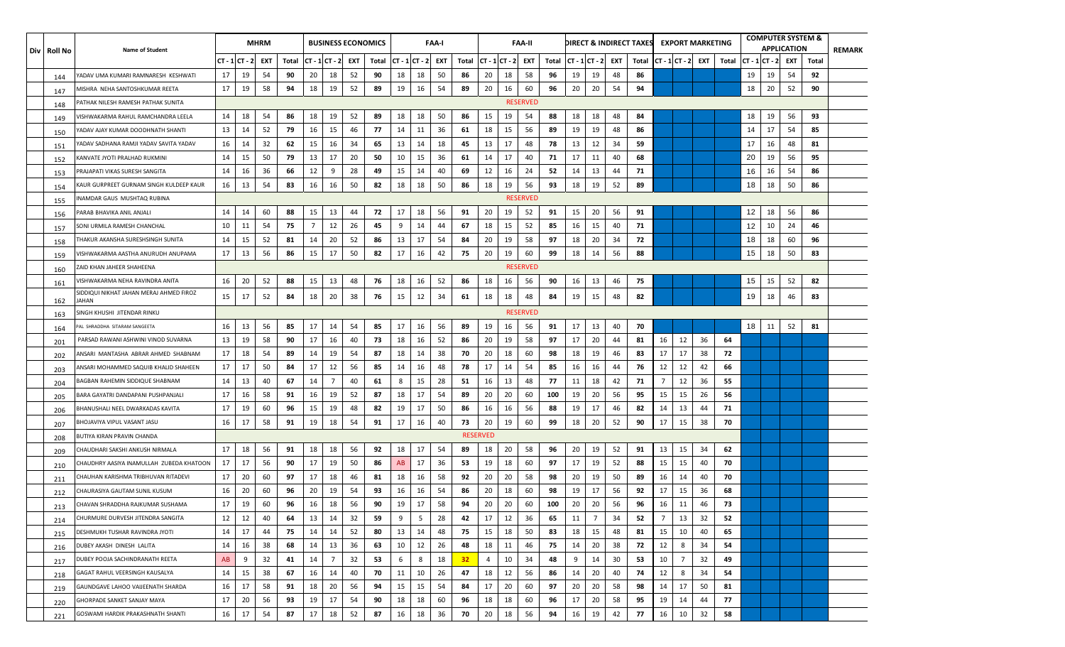| Div   Roll No | <b>Name of Student</b>                           |        |         | <b>MHRM</b> |       |                |                |     | <b>BUSINESS ECONOMICS</b> |    |                | FAA-I |                 |                 |                  | FAA-II          |       |    |                |     | DIRECT & INDIRECT TAXES |                |    | <b>EXPORT MARKETING</b> |       |    |                | <b>COMPUTER SYSTEM &amp;</b><br><b>APPLICATION</b> |       | <b>REMARK</b> |
|---------------|--------------------------------------------------|--------|---------|-------------|-------|----------------|----------------|-----|---------------------------|----|----------------|-------|-----------------|-----------------|------------------|-----------------|-------|----|----------------|-----|-------------------------|----------------|----|-------------------------|-------|----|----------------|----------------------------------------------------|-------|---------------|
|               |                                                  | CT - 1 | ICT - 2 | EXT         | Total | $CT - 1CT - 2$ |                | EXT | Total                     |    | $CT - 1CT - 2$ | EXT   | Total           |                 | $CT - 1 CT - 2 $ | EXT             | Total |    | $CT - 1CT - 2$ | EXT | Total                   | $CT - 1CT - 2$ |    | EXT                     | Total |    | $CT - 1CT - 2$ | EXT                                                | Total |               |
| 144           | ADAV UMA KUMARI RAMNARESH KESHWATI               | 17     | 19      | 54          | 90    | 20             | 18             | 52  | 90                        | 18 | 18             | 50    | 86              | 20              | 18               | 58              | 96    | 19 | 19             | 48  | 86                      |                |    |                         |       | 19 | 19             | 54                                                 | 92    |               |
| 147           | VIISHRA NEHA SANTOSHKUMAR REETA                  | 17     | 19      | 58          | 94    | 18             | 19             | 52  | 89                        | 19 | 16             | 54    | 89              | 20              | 16               | 60              | 96    | 20 | 20             | 54  | 94                      |                |    |                         |       | 18 | 20             | 52                                                 | 90    |               |
| 148           | ATHAK NILESH RAMESH PATHAK SUNITA                |        |         |             |       |                |                |     |                           |    |                |       |                 |                 |                  | <b>RESERVED</b> |       |    |                |     |                         |                |    |                         |       |    |                |                                                    |       |               |
| 149           | /ISHWAKARMA RAHUL RAMCHANDRA LEELA               | 14     | 18      | 54          | 86    | 18             | 19             | 52  | 89                        | 18 | 18             | 50    | 86              | 15              | 19               | 54              | 88    | 18 | 18             | 48  | 84                      |                |    |                         |       | 18 | 19             | 56                                                 | 93    |               |
| 150           | ADAV AJAY KUMAR DOODHNATH SHANTI'                | 13     | 14      | 52          | 79    | 16             | 15             | 46  | 77                        | 14 | 11             | 36    | 61              | 18              | 15               | 56              | 89    | 19 | 19             | 48  | 86                      |                |    |                         |       | 14 | 17             | 54                                                 | 85    |               |
| 151           | ADAV SADHANA RAMJI YADAV SAVITA YADAV            | 16     | 14      | 32          | 62    | 15             | 16             | 34  | 65                        | 13 | 14             | 18    | 45              | 13              | 17               | 48              | 78    | 13 | 12             | 34  | 59                      |                |    |                         |       | 17 | 16             | 48                                                 | 81    |               |
| 152           | KANVATE JYOTI PRALHAD RUKMINI                    | 14     | 15      | 50          | 79    | 13             | 17             | 20  | 50                        | 10 | 15             | 36    | 61              | 14              | 17               | 40              | 71    | 17 | 11             | 40  | 68                      |                |    |                         |       | 20 | 19             | 56                                                 | 95    |               |
| 153           | PRAJAPATI VIKAS SURESH SANGITA                   | 14     | 16      | 36          | 66    | 12             | 9              | 28  | 49                        | 15 | 14             | 40    | 69              | 12              | 16               | 24              | 52    | 14 | 13             | 44  | 71                      |                |    |                         |       | 16 | 16             | 54                                                 | 86    |               |
| 154           | KAUR GURPREET GURNAM SINGH KULDEEP KAUR          | 16     | 13      | 54          | 83    | 16             | 16             | 50  | 82                        | 18 | 18             | 50    | 86              | 18              | 19               | 56              | 93    | 18 | 19             | 52  | 89                      |                |    |                         |       | 18 | 18             | 50                                                 | 86    |               |
| 155           | NAMDAR GAUS MUSHTAQ RUBINA                       |        |         |             |       |                |                |     |                           |    |                |       |                 |                 |                  | <b>RESERVED</b> |       |    |                |     |                         |                |    |                         |       |    |                |                                                    |       |               |
| 156           | ARAB BHAVIKA ANIL ANJALI                         | 14     | 14      | 60          | 88    | 15             | 13             | 44  | 72                        | 17 | 18             | 56    | 91              | 20              | 19               | 52              | 91    | 15 | 20             | 56  | 91                      |                |    |                         |       | 12 | 18             | 56                                                 | 86    |               |
| 157           | SONI URMILA RAMESH CHANCHAL                      | 10     | 11      | 54          | - 75  | $\overline{7}$ | 12             | 26  | 45                        | 9  | 14             | 44    | 67              | 18              | 15               | 52              | 85    | 16 | 15             | 40  | 71                      |                |    |                         |       | 12 | 10             | 24                                                 | 46    |               |
| 158           | THAKUR AKANSHA SURESHSINGH SUNITA                | 14     | 15      | 52          | 81    | 14             | 20             | 52  | 86                        | 13 | 17             | 54    | 84              | 20              | 19               | 58              | 97    | 18 | 20             | 34  | 72                      |                |    |                         |       | 18 | 18             | 60                                                 | 96    |               |
| 159           | /ISHWAKARMA AASTHA ANURUDH ANUPAMA               | 17     | 13      | 56          | 86    | 15             | 17             | 50  | 82                        | 17 | 16             | 42    | 75              | 20              | 19               | 60              | 99    | 18 | 14             | 56  | 88                      |                |    |                         |       | 15 | 18             | 50                                                 | 83    |               |
| 160           | ZAID KHAN JAHEER SHAHEENA                        |        |         |             |       |                |                |     |                           |    |                |       |                 |                 |                  | <b>RESERVED</b> |       |    |                |     |                         |                |    |                         |       |    |                |                                                    |       |               |
| 161           | /ISHWAKARMA NEHA RAVINDRA ANITA                  | 16     | 20      | 52          | 88    | 15             | 13             | 48  | 76                        | 18 | 16             | 52    | 86              | 18              | 16               | 56              | 90    | 16 | 13             | 46  | 75                      |                |    |                         |       | 15 | 15             | 52                                                 | 82    |               |
| 162           | SIDDIQUI NIKHAT JAHAN MERAJ AHMED FIROZ<br>IAHAN | 15     | 17      | 52          | 84    | 18             | 20             | 38  | 76                        | 15 | 12             | 34    | 61              | 18              | 18               | 48              | 84    | 19 | 15             | 48  | 82                      |                |    |                         |       | 19 | 18             | 46                                                 | 83    |               |
| 163           | SINGH KHUSHI JITENDAR RINKU                      |        |         |             |       |                |                |     |                           |    |                |       |                 |                 |                  | <b>RESERVED</b> |       |    |                |     |                         |                |    |                         |       |    |                |                                                    |       |               |
| 164           | AL SHRADDHA SITARAM SANGEETA                     | 16     | 13      | 56          | 85    | 17             | 14             | 54  | 85                        | 17 | 16             | 56    | 89              | 19              | 16               | 56              | 91    | 17 | 13             | 40  | 70                      |                |    |                         |       | 18 | 11             | 52                                                 | 81    |               |
| 201           | PARSAD RAWANI ASHWINI VINOD SUVARNA              | 13     | 19      | 58          | 90    | 17             | 16             | 40  | 73                        | 18 | 16             | 52    | 86              | 20              | 19               | 58              | 97    | 17 | 20             | 44  | 81                      | 16             | 12 | 36                      | 64    |    |                |                                                    |       |               |
| 202           | ANSARI MANTASHA ABRAR AHMED SHABNAM              | 17     | 18      | 54          | 89    | 14             | 19             | 54  | 87                        | 18 | 14             | 38    | 70              | 20              | 18               | 60              | 98    | 18 | 19             | 46  | 83                      | 17             | 17 | 38                      | 72    |    |                |                                                    |       |               |
| 203           | ANSARI MOHAMMED SAQUIB KHALID SHAHEEN            | 17     | 17      | 50          | 84    | 17             | 12             | 56  | 85                        | 14 | 16             | 48    | 78              | 17              | 14               | 54              | 85    | 16 | 16             | 44  | 76                      | 12             | 12 | 42                      | 66    |    |                |                                                    |       |               |
| 204           | BAGBAN RAHEMIN SIDDIQUE SHABNAM                  | 14     | 13      | 40          | 67    | 14             | 7              | 40  | 61                        | 8  | 15             | 28    | 51              | 16              | 13               | 48              | 77    | 11 | 18             | 42  | 71                      | 7              | 12 | 36                      | 55    |    |                |                                                    |       |               |
| 205           | BARA GAYATRI DANDAPANI PUSHPANJALI               | 17     | 16      | 58          | 91    | 16             | 19             | 52  | 87                        | 18 | 17             | 54    | 89              | 20              | 20               | 60              | 100   | 19 | 20             | 56  | 95                      | 15             | 15 | 26                      | 56    |    |                |                                                    |       |               |
| 206           | BHANUSHALI NEEL DWARKADAS KAVITA                 | 17     | 19      | 60          | 96    | 15             | 19             | 48  | 82                        | 19 | 17             | 50    | 86              | 16              | 16               | 56              | 88    | 19 | 17             | 46  | 82                      | 14             | 13 | 44                      | 71    |    |                |                                                    |       |               |
| 207           | BHOJAVIYA VIPUL VASANT JASU                      | 16     | 17      | 58          | 91    | 19             | 18             | 54  | 91                        | 17 | 16             | 40    | 73              | 20              | 19               | 60              | 99    | 18 | 20             | 52  | 90                      | 17             | 15 | 38                      | 70    |    |                |                                                    |       |               |
| 208           | BUTIYA KIRAN PRAVIN CHANDA                       |        |         |             |       |                |                |     |                           |    |                |       |                 | <b>RESERVED</b> |                  |                 |       |    |                |     |                         |                |    |                         |       |    |                |                                                    |       |               |
| 209           | CHAUDHARI SAKSHI ANKUSH NIRMALA                  | 17     | 18      | 56          | 91    | 18             | 18             | 56  | 92                        | 18 | 17             | 54    | 89              | 18              | 20               | 58              | 96    | 20 | 19             | 52  | 91                      | 13             | 15 | 34                      | 62    |    |                |                                                    |       |               |
| 210           | CHAUDHRY AASIYA INAMULLAH ZUBEDA KHATOON         | 17     | 17      | 56          | 90    | 17             | 19             | 50  | 86                        | AB | 17             | 36    | 53              | 19              | 18               | 60              | 97    | 17 | 19             | 52  | 88                      | 15             | 15 | 40                      | 70    |    |                |                                                    |       |               |
| 211           | CHAUHAN KARISHMA TRIBHUVAN RITADEVI              | 17     | 20      | 60          | 97    | 17             | 18             | 46  | 81                        | 18 | 16             | 58    | 92              | 20              | 20               | 58              | 98    | 20 | 19             | 50  | 89                      | 16             | 14 | 40                      | 70    |    |                |                                                    |       |               |
| 212           | CHAURASIYA GAUTAM SUNIL KUSUM                    | 16     | 20      | 60          | 96    | 20             | 19             | 54  | 93                        | 16 | 16             | 54    | 86              | 20              | 18               | 60              | 98    | 19 | 17             | 56  | 92                      | 17             | 15 | 36                      | 68    |    |                |                                                    |       |               |
| 213           | CHAVAN SHRADDHA RAJKUMAR SUSHAMA                 | 17     | 19      | 60          | 96    | 16             | 18             | 56  | 90                        | 19 | 17             | 58    | 94              | 20              | 20               | 60              | 100   | 20 | 20             | 56  | 96                      | 16             | 11 | 46                      | 73    |    |                |                                                    |       |               |
| 214           | CHURMURE DURVESH JITENDRA SANGITA                | 12     | 12      | 40          | 64    | 13             | 14             | 32  | 59                        | 9  | 5              | 28    | 42              | 17              | 12               | 36              | 65    | 11 | $\overline{7}$ | 34  | 52                      | $\overline{7}$ | 13 | 32                      | 52    |    |                |                                                    |       |               |
| 215           | DESHMUKH TUSHAR RAVINDRA JYOTI                   | 14     | 17      | 44          | 75    | 14             | 14             | 52  | 80                        | 13 | 14             | 48    | 75              | 15              | 18               | 50              | 83    | 18 | 15             | 48  | 81                      | 15             | 10 | 40                      | 65    |    |                |                                                    |       |               |
| 216           | DUBEY AKASH DINESH LALITA                        | 14     | 16      | 38          | 68    | 14             | 13             | 36  | 63                        | 10 | 12             | 26    | 48              | 18              | 11               | 46              | 75    | 14 | 20             | 38  | 72                      | 12             | 8  | 34                      | 54    |    |                |                                                    |       |               |
| 217           | DUBEY POOJA SACHINDRANATH REETA                  | AB     | 9       | 32          | 41    | 14             | $\overline{7}$ | 32  | 53                        | 6  | 8              | 18    | 32 <sub>2</sub> | 4               | 10               | 34              | 48    | 9  | 14             | 30  | 53                      | 10             | 7  | 32                      | 49    |    |                |                                                    |       |               |
| 218           | GAGAT RAHUL VEERSINGH KAUSALYA                   | 14     | 15      | 38          | 67    | 16             | 14             | 40  | 70                        | 11 | 10             | 26    | 47              | 18              | 12               | 56              | 86    | 14 | 20             | 40  | 74                      | 12             | 8  | 34                      | 54    |    |                |                                                    |       |               |
| 219           | GAUNDGAVE LAHOO VAIJEENATH SHARDA                | 16     | 17      | 58          | 91    | 18             | 20             | 56  | 94                        | 15 | 15             | 54    | 84              | 17              | 20               | 60              | 97    | 20 | 20             | 58  | 98                      | 14             | 17 | 50                      | 81    |    |                |                                                    |       |               |
| 220           | GHORPADE SANKET SANJAY MAYA                      | 17     | 20      | 56          | 93    | 19             | 17             | 54  | 90                        | 18 | 18             | 60    | 96              | 18              | 18               | 60              | 96    | 17 | 20             | 58  | 95                      | 19             | 14 | 44                      | 77    |    |                |                                                    |       |               |
| 221           | GOSWAMI HARDIK PRAKASHNATH SHANTI                | 16     | 17      | 54          | 87    | 17             | 18             | 52  | 87                        | 16 | 18             | 36    | 70              | 20              | 18               | 56              | 94    | 16 | 19             | 42  | 77                      | 16             | 10 | 32                      | 58    |    |                |                                                    |       |               |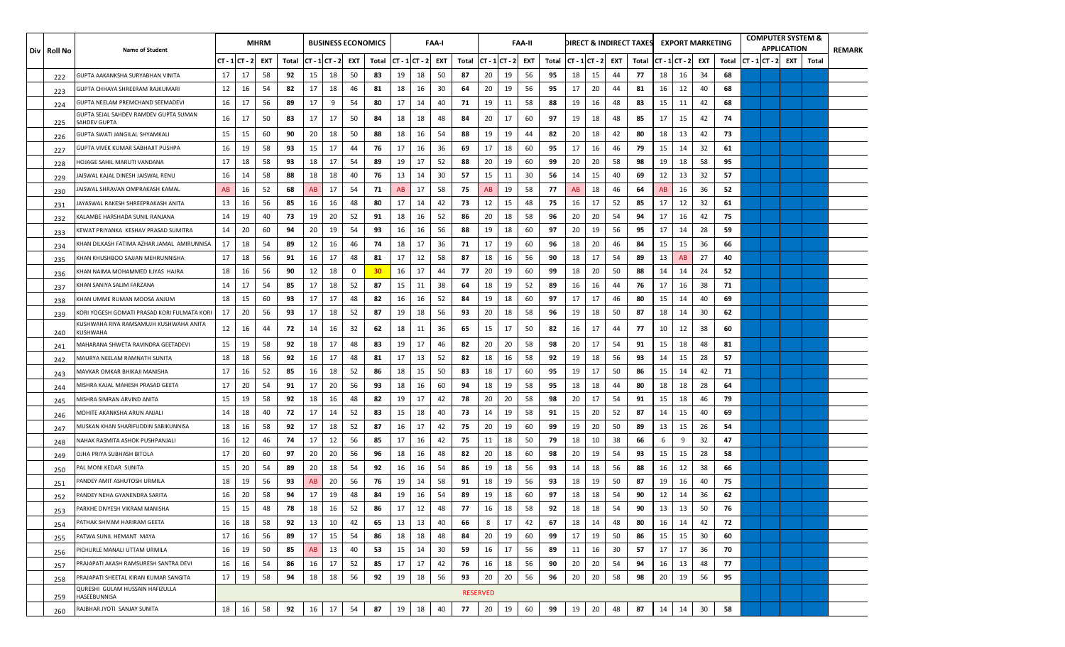| Div   Roll No | <b>Name of Student</b>                                |                |    | <b>MHRM</b> |       |                |    | <b>BUSINESS ECONOMICS</b> |                 |                  |    | FAA-I |       |                 |                | <b>FAA-II</b> |       |    |                        |    | DIRECT & INDIRECT TAXES EXPORT MARKETING |    |               |     |       |                       | <b>COMPUTER SYSTEM &amp;</b><br><b>APPLICATION</b> |       | REMARK |
|---------------|-------------------------------------------------------|----------------|----|-------------|-------|----------------|----|---------------------------|-----------------|------------------|----|-------|-------|-----------------|----------------|---------------|-------|----|------------------------|----|------------------------------------------|----|---------------|-----|-------|-----------------------|----------------------------------------------------|-------|--------|
|               |                                                       | $CT - 1CT - 2$ |    | EXT         | Total | $CT - 1CT - 2$ |    | EXT                       | Total           | $CT - 1 CT - 2 $ |    | EXT   | Total |                 | $CT - 1CT - 2$ | EXT           | Total |    | $CT - 1   CT - 2 $ EXT |    | Total                                    |    | CT - 1 CT - 2 | EXT | Total | $ CT - 1 CT - 2 $ EXT |                                                    | Total |        |
| 222           | GUPTA AAKANKSHA SURYABHAN VINITA                      | 17             | 17 | 58          | 92    | 15             | 18 | 50                        | 83              | 19               | 18 | 50    | 87    | 20              | 19             | 56            | 95    | 18 | 15                     | 44 | 77                                       | 18 | 16            | -34 | 68    |                       |                                                    |       |        |
| 223           | GUPTA CHHAYA SHREERAM RAJKUMARI                       | 12             | 16 | 54          | 82    | 17             | 18 | 46                        | 81              | 18               | 16 | 30    | 64    | 20              | 19             | 56            | 95    | 17 | 20                     | 44 | 81                                       | 16 | 12            | 40  | 68    |                       |                                                    |       |        |
| 224           | GUPTA NEELAM PREMCHAND SEEMADEVI                      | 16             | 17 | 56          | 89    | 17             | 9  | 54                        | 80              | 17               | 14 | 40    | 71    | 19              | 11             | 58            | 88    | 19 | 16                     | 48 | 83                                       | 15 | 11            | 42  | 68    |                       |                                                    |       |        |
| 225           | GUPTA SEJAL SAHDEV RAMDEV GUPTA SUMAN<br>SAHDEV GUPTA | 16             | 17 | 50          | 83    | 17             | 17 | 50                        | 84              | 18               | 18 | 48    | 84    | 20              | 17             | 60            | 97    | 19 | 18                     | 48 | 85                                       | 17 | 15            | 42  | 74    |                       |                                                    |       |        |
| 226           | GUPTA SWATI JANGILAL SHYAMKALI                        | 15             | 15 | 60          | 90    | 20             | 18 | 50                        | 88              | 18               | 16 | 54    | 88    | 19              | 19             | 44            | 82    | 20 | 18                     | 42 | 80                                       | 18 | 13            | 42  | 73    |                       |                                                    |       |        |
| 227           | GUPTA VIVEK KUMAR SABHAJIT PUSHPA                     | 16             | 19 | 58          | 93    | 15             | 17 | 44                        | 76              | 17               | 16 | 36    | 69    | 17              | 18             | 60            | 95    | 17 | 16                     | 46 | 79                                       | 15 | 14            | -32 | 61    |                       |                                                    |       |        |
| 228           | IOJAGE SAHIL MARUTI VANDANA                           | 17             | 18 | 58          | 93    | 18             | 17 | 54                        | 89              | 19               | 17 | 52    | 88    | 20              | 19             | 60            | 99    | 20 | 20                     | 58 | 98                                       | 19 | 18            | 58  | 95    |                       |                                                    |       |        |
| 229           | AISWAL KAJAL DINESH JAISWAL RENU                      | 16             | 14 | 58          | 88    | 18             | 18 | 40                        | 76              | 13               | 14 | 30    | 57    | 15              | 11             | 30            | 56    | 14 | 15                     | 40 | 69                                       | 12 | 13            | 32  | 57    |                       |                                                    |       |        |
| 230           | AISWAL SHRAVAN OMPRAKASH KAMAL                        | AB             | 16 | 52          | 68    | AB             | 17 | 54                        | 71              | AB               | 17 | 58    | 75    | AB              | 19             | 58            | 77    | AB | 18                     | 46 | 64                                       | AB | 16            | 36  | 52    |                       |                                                    |       |        |
| 231           | AYASWAL RAKESH SHREEPRAKASH ANITA                     | 13             | 16 | 56          | 85    | 16             | 16 | 48                        | 80              | 17               | 14 | 42    | 73    | 12              | 15             | 48            | 75    | 16 | 17                     | 52 | 85                                       | 17 | 12            | 32  | 61    |                       |                                                    |       |        |
| 232           | KALAMBE HARSHADA SUNIL RANJANA                        | 14             | 19 | 40          | 73    | 19             | 20 | 52                        | 91              | 18               | 16 | 52    | 86    | 20              | 18             | 58            | 96    | 20 | 20                     | 54 | 94                                       | 17 | 16            | 42  | 75    |                       |                                                    |       |        |
| 233           | KEWAT PRIYANKA KESHAV PRASAD SUMITRA                  | 14             | 20 | 60          | 94    | 20             | 19 | 54                        | 93              | 16               | 16 | 56    | 88    | 19              | 18             | 60            | 97    | 20 | 19                     | 56 | 95                                       | 17 | 14            | 28  | 59    |                       |                                                    |       |        |
| 234           | (HAN DILKASH FATIMA AZHAR JAMAL AMIRUNNISA            | 17             | 18 | 54          | 89    | 12             | 16 | 46                        | 74              | 18               | 17 | 36    | 71    | 17              | 19             | 60            | 96    | 18 | 20                     | 46 | 84                                       | 15 | 15            | 36  | 66    |                       |                                                    |       |        |
| 235           | KHAN KHUSHBOO SAJJAN MEHRUNNISHA                      | 17             | 18 | 56          | 91    | 16             | 17 | 48                        | 81              | 17               | 12 | 58    | 87    | 18              | 16             | 56            | 90    | 18 | 17                     | 54 | 89                                       | 13 | AB            | 27  | 40    |                       |                                                    |       |        |
| 236           | KHAN NAIMA MOHAMMED ILIYAS HAJRA                      | 18             | 16 | 56          | 90    | 12             | 18 | $\mathbf 0$               | 30 <sub>2</sub> | 16               | 17 | 44    | 77    | 20              | 19             | 60            | 99    | 18 | 20                     | 50 | 88                                       | 14 | 14            | 24  | 52    |                       |                                                    |       |        |
| 237           | KHAN SANIYA SALIM FARZANA                             | 14             | 17 | 54          | 85    | 17             | 18 | 52                        | 87              | 15               | 11 | 38    | 64    | 18              | 19             | 52            | 89    | 16 | 16                     | 44 | 76                                       | 17 | 16            | -38 | 71    |                       |                                                    |       |        |
| 238           | KHAN UMME RUMAN MOOSA ANJUM                           | 18             | 15 | 60          | 93    | 17             | 17 | 48                        | 82              | 16               | 16 | 52    | 84    | 19              | 18             | 60            | 97    | 17 | 17                     | 46 | 80                                       | 15 | 14            | 40  | 69    |                       |                                                    |       |        |
| 239           | KORI YOGESH GOMATI PRASAD KORI FULMATA KORI           | 17             | 20 | 56          | 93    | 17             | 18 | 52                        | 87              | 19               | 18 | 56    | 93    | 20              | 18             | 58            | 96    | 19 | 18                     | 50 | 87                                       | 18 | 14            | 30  | 62    |                       |                                                    |       |        |
| 240           | KUSHWAHA RIYA RAMSAMUJH KUSHWAHA ANITA<br>KUSHWAHA    | 12             | 16 | 44          | 72    | 14             | 16 | 32                        | 62              | 18               | 11 | 36    | 65    | 15              | 17             | 50            | 82    | 16 | 17                     | 44 | 77                                       | 10 | 12            | -38 | 60    |                       |                                                    |       |        |
| 241           | MAHARANA SHWETA RAVINDRA GEETADEVI                    | 15             | 19 | 58          | 92    | 18             | 17 | 48                        | 83              | 19               | 17 | 46    | 82    | 20              | 20             | 58            | 98    | 20 | 17                     | 54 | 91                                       | 15 | 18            | 48  | 81    |                       |                                                    |       |        |
| 242           | MAURYA NEELAM RAMNATH SUNITA                          | 18             | 18 | 56          | 92    | 16             | 17 | 48                        | 81              | 17               | 13 | 52    | 82    | 18              | 16             | 58            | 92    | 19 | 18                     | 56 | 93                                       | 14 | 15            | 28  | 57    |                       |                                                    |       |        |
| 243           | MAVKAR OMKAR BHIKAJI MANISHA                          | 17             | 16 | 52          | 85    | 16             | 18 | 52                        | 86              | 18               | 15 | 50    | 83    | 18              | 17             | 60            | 95    | 19 | 17                     | 50 | 86                                       | 15 | 14            | 42  | 71    |                       |                                                    |       |        |
| 244           | VIISHRA KAJAL MAHESH PRASAD GEETA                     | 17             | 20 | 54          | 91    | 17             | 20 | 56                        | 93              | 18               | 16 | 60    | 94    | 18              | 19             | 58            | 95    | 18 | 18                     | 44 | 80                                       | 18 | 18            | 28  | 64    |                       |                                                    |       |        |
| 245           | MISHRA SIMRAN ARVIND ANITA                            | 15             | 19 | 58          | 92    | 18             | 16 | 48                        | 82              | 19               | 17 | 42    | 78    | 20              | 20             | 58            | 98    | 20 | 17                     | 54 | 91                                       | 15 | 18            | 46  | 79    |                       |                                                    |       |        |
| 246           | MOHITE AKANKSHA ARUN ANJALI                           | 14             | 18 | 40          | 72    | 17             | 14 | 52                        | 83              | 15               | 18 | 40    | 73    | 14              | 19             | 58            | 91    | 15 | 20                     | 52 | 87                                       | 14 | 15            | 40  | 69    |                       |                                                    |       |        |
| 247           | MUSKAN KHAN SHARIFUDDIN SABIKUNNISA                   | 18             | 16 | 58          | 92    | 17             | 18 | 52                        | 87              | 16               | 17 | 42    | 75    | 20              | 19             | 60            | 99    | 19 | 20                     | 50 | 89                                       | 13 | 15            | 26  | 54    |                       |                                                    |       |        |
| 248           | NAHAK RASMITA ASHOK PUSHPANJALI                       | 16             | 12 | 46          | 74    | 17             | 12 | 56                        | 85              | 17               | 16 | 42    | 75    | 11              | 18             | 50            | 79    | 18 | 10                     | 38 | 66                                       | 6  | 9             | 32  | 47    |                       |                                                    |       |        |
| 249           | OJHA PRIYA SUBHASH BITOLA                             | 17             | 20 | 60          | 97    | 20             | 20 | 56                        | 96              | 18               | 16 | 48    | 82    | 20              | 18             | 60            | 98    | 20 | 19                     | 54 | 93                                       | 15 | 15            | 28  | 58    |                       |                                                    |       |        |
| 250           | PAL MONI KEDAR SUNITA                                 | 15             | 20 | 54          | 89    | 20             | 18 | 54                        | 92              | 16               | 16 | 54    | 86    | 19              | 18             | 56            | 93    | 14 | 18                     | 56 | 88                                       | 16 | 12            | 38  | 66    |                       |                                                    |       |        |
| 251           | PANDEY AMIT ASHUTOSH URMILA                           | 18             | 19 | 56          | 93    | AB             | 20 | 56                        | 76              | 19               | 14 | 58    | 91    | 18              | 19             | 56            | 93    | 18 | 19                     | 50 | 87                                       | 19 | 16            | 40  | 75    |                       |                                                    |       |        |
| 252           | PANDEY NEHA GYANENDRA SARITA                          | 16             | 20 | 58          | 94    | 17             | 19 | 48                        | 84              | 19               | 16 | 54    | 89    | 19              | 18             | 60            | 97    | 18 | 18                     | 54 | 90                                       | 12 | 14            | 36  | 62    |                       |                                                    |       |        |
| 253           | PARKHE DIVYESH VIKRAM MANISHA                         | 15             | 15 | 48          | 78    | 18             | 16 | 52                        | 86              | 17               | 12 | 48    | 77    | 16              | 18             | 58            | 92    | 18 | 18                     | 54 | 90                                       | 13 | 13            | 50  | 76    |                       |                                                    |       |        |
| 254           | PATHAK SHIVAM HARIRAM GEETA                           | 16             | 18 | 58          | 92    | 13             | 10 | 42                        | 65              | 13               | 13 | 40    | 66    | 8               | 17             | 42            | 67    | 18 | 14                     | 48 | 80                                       | 16 | 14            | 42  | 72    |                       |                                                    |       |        |
| 255           | PATWA SUNIL HEMANT MAYA                               | 17             | 16 | 56          | 89    | 17             | 15 | 54                        | 86              | 18               | 18 | 48    | 84    | 20              | 19             | 60            | 99    | 17 | 19                     | 50 | 86                                       | 15 | 15            | 30  | 60    |                       |                                                    |       |        |
| 256           | PICHURLE MANALI UTTAM URMILA                          | 16             | 19 | 50          | 85    | AB             | 13 | 40                        | 53              | 15               | 14 | 30    | 59    | 16              | 17             | 56            | 89    | 11 | 16                     | 30 | 57                                       | 17 | 17            | 36  | 70    |                       |                                                    |       |        |
| 257           | PRAJAPATI AKASH RAMSURESH SANTRA DEVI                 | 16             | 16 | 54          | 86    | 16             | 17 | 52                        | 85              | 17               | 17 | 42    | 76    | 16              | 18             | 56            | 90    | 20 | 20                     | 54 | 94                                       | 16 | 13            | 48  | 77    |                       |                                                    |       |        |
| 258           | PRAJAPATI SHEETAL KIRAN KUMAR SANGITA                 | 17             | 19 | 58          | 94    | 18             | 18 | 56                        | 92              | 19               | 18 | 56    | 93    | 20              | 20             | 56            | 96    | 20 | 20                     | 58 | 98                                       | 20 | 19            | 56  | 95    |                       |                                                    |       |        |
| 259           | QURESHI GULAM HUSSAIN HAFIZULLA<br>HASEEBUNNISA       |                |    |             |       |                |    |                           |                 |                  |    |       |       | <b>RESERVED</b> |                |               |       |    |                        |    |                                          |    |               |     |       |                       |                                                    |       |        |
| 260           | RAJBHAR JYOTI SANJAY SUNITA                           | 18             | 16 | 58          | 92    | 16             | 17 | 54                        | 87              | 19               | 18 | 40    | 77    | 20              | 19             | 60            | 99    | 19 | 20                     | 48 | 87                                       | 14 | 14            | 30  | 58    |                       |                                                    |       |        |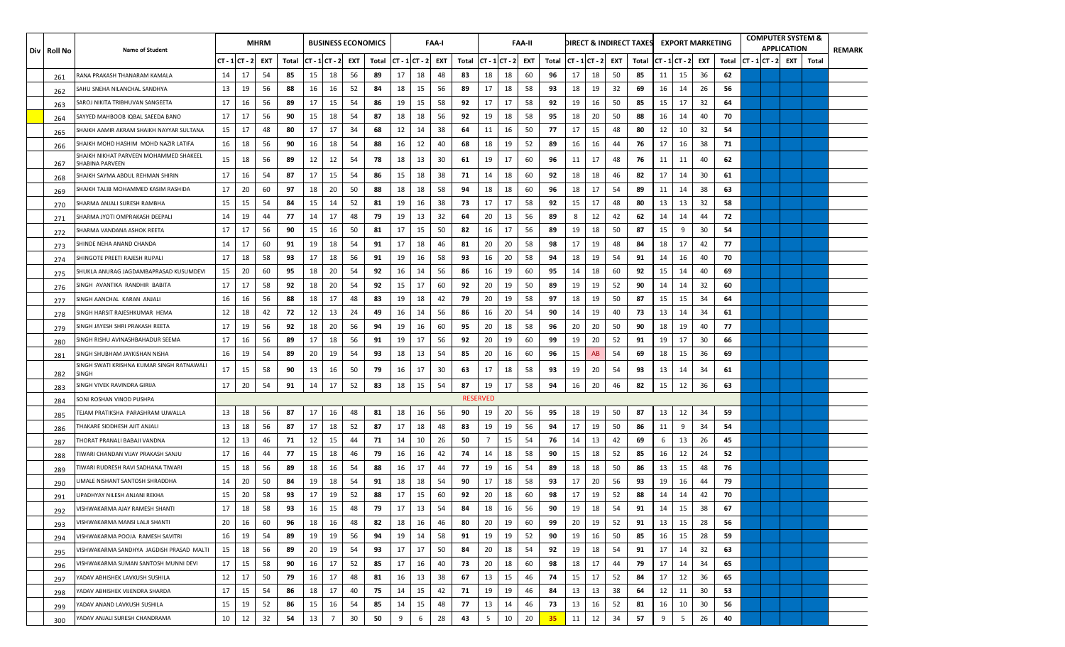| Div   Roll No | <b>Name of Student</b>                                    |        |         | <b>MHRM</b> |       |                   |                |     | <b>BUSINESS ECONOMICS</b> |                   |    | FAA-I |       |                 |                | <b>FAA-II</b> |       |                |    |     | DIRECT & INDIRECT TAXES |    | <b>EXPORT MARKETING</b> |     |       |  | <b>COMPUTER SYSTEM &amp;</b><br><b>APPLICATION</b> |       | <b>REMARK</b> |
|---------------|-----------------------------------------------------------|--------|---------|-------------|-------|-------------------|----------------|-----|---------------------------|-------------------|----|-------|-------|-----------------|----------------|---------------|-------|----------------|----|-----|-------------------------|----|-------------------------|-----|-------|--|----------------------------------------------------|-------|---------------|
|               |                                                           | CT - 1 | ICT - 2 | EXT         | Total | $ CT - 1 CT - 2 $ |                | EXT | Total                     | $ CT - 1 CT - 2 $ |    | EXT   | Total |                 | $CT - 1CT - 2$ | EXT           | Total | $CT - 1CT - 2$ |    | EXT | Total                   |    | $CT - 1 CT - 2 $        | EXT | Total |  | $CT - 1 CT - 2 $ EXT                               | Total |               |
| 261           | RANA PRAKASH THANARAM KAMALA                              | 14     | 17      | 54          | 85    | 15                | 18             | 56  | 89                        | 17                | 18 | 48    | 83    | 18              | 18             | 60            | 96    | 17             | 18 | 50  | 85                      | 11 | 15                      | 36  | 62    |  |                                                    |       |               |
| 262           | SAHU SNEHA NILANCHAL SANDHYA                              | 13     | 19      | 56          | 88    | 16                | 16             | 52  | 84                        | 18                | 15 | 56    | 89    | 17              | 18             | 58            | 93    | 18             | 19 | 32  | 69                      | 16 | 14                      | 26  | 56    |  |                                                    |       |               |
| 263           | SAROJ NIKITA TRIBHUVAN SANGEETA                           | 17     | 16      | 56          | 89    | 17                | 15             | 54  | 86                        | 19                | 15 | 58    | 92    | 17              | 17             | 58            | 92    | 19             | 16 | 50  | 85                      | 15 | 17                      | 32  | 64    |  |                                                    |       |               |
| 264           | SAYYED MAHBOOB IQBAL SAEEDA BANO                          | 17     | 17      | 56          | 90    | 15                | 18             | 54  | 87                        | 18                | 18 | 56    | 92    | 19              | 18             | 58            | 95    | 18             | 20 | 50  | 88                      | 16 | 14                      | 40  | 70    |  |                                                    |       |               |
| 265           | SHAIKH AAMIR AKRAM SHAIKH NAYYAR SULTANA                  | 15     | 17      | 48          | 80    | 17                | 17             | 34  | 68                        | 12                | 14 | 38    | 64    | 11              | 16             | 50            | 77    | 17             | 15 | 48  | 80                      | 12 | 10                      | 32  | 54    |  |                                                    |       |               |
| 266           | SHAIKH MOHD HASHIM MOHD NAZIR LATIFA                      | 16     | 18      | 56          | 90    | 16                | 18             | 54  | 88                        | 16                | 12 | 40    | 68    | 18              | 19             | 52            | 89    | 16             | 16 | 44  | 76                      | 17 | 16                      | 38  | 71    |  |                                                    |       |               |
| 267           | SHAIKH NIKHAT PARVEEN MOHAMMED SHAKEEL<br>SHABINA PARVEEN | 15     | 18      | 56          | 89    | 12                | 12             | 54  | 78                        | 18                | 13 | 30    | 61    | 19              | 17             | 60            | 96    | 11             | 17 | 48  | 76                      | 11 | 11                      | 40  | 62    |  |                                                    |       |               |
| 268           | SHAIKH SAYMA ABDUL REHMAN SHIRIN                          | 17     | 16      | 54          | 87    | 17                | 15             | 54  | 86                        | 15                | 18 | 38    | 71    | 14              | 18             | 60            | 92    | 18             | 18 | 46  | 82                      | 17 | 14                      | 30  | 61    |  |                                                    |       |               |
| 269           | SHAIKH TALIB MOHAMMED KASIM RASHIDA                       | 17     | 20      | 60          | 97    | 18                | 20             | 50  | 88                        | 18                | 18 | 58    | 94    | 18              | 18             | 60            | 96    | 18             | 17 | 54  | 89                      | 11 | 14                      | 38  | 63    |  |                                                    |       |               |
| 270           | SHARMA ANJALI SURESH RAMBHA                               | 15     | 15      | 54          | 84    | 15                | 14             | 52  | 81                        | 19                | 16 | 38    | 73    | 17              | 17             | 58            | 92    | 15             | 17 | 48  | 80                      | 13 | 13                      | 32  | 58    |  |                                                    |       |               |
| 271           | SHARMA JYOTI OMPRAKASH DEEPALI                            | 14     | 19      | 44          | -77   | 14                | 17             | 48  | 79                        | 19                | 13 | 32    | 64    | 20              | 13             | 56            | 89    | 8              | 12 | 42  | 62                      | 14 | 14                      | 44  | 72    |  |                                                    |       |               |
| 272           | SHARMA VANDANA ASHOK REETA                                | 17     | 17      | 56          | 90    | 15                | 16             | 50  | 81                        | 17                | 15 | 50    | 82    | 16              | 17             | 56            | 89    | 19             | 18 | 50  | 87                      | 15 | 9                       | 30  | 54    |  |                                                    |       |               |
| 273           | SHINDE NEHA ANAND CHANDA                                  | 14     | 17      | 60          | 91    | 19                | 18             | 54  | 91                        | 17                | 18 | 46    | 81    | 20              | 20             | 58            | 98    | 17             | 19 | 48  | 84                      | 18 | 17                      | 42  | 77    |  |                                                    |       |               |
| 274           | SHINGOTE PREETI RAJESH RUPALI                             | 17     | 18      | 58          | 93    | 17                | 18             | 56  | 91                        | 19                | 16 | 58    | 93    | 16              | 20             | 58            | 94    | 18             | 19 | 54  | 91                      | 14 | 16                      | 40  | 70    |  |                                                    |       |               |
| 275           | SHUKLA ANURAG JAGDAMBAPRASAD KUSUMDEVI                    | 15     | 20      | 60          | 95    | 18                | 20             | 54  | 92                        | 16                | 14 | 56    | 86    | 16              | 19             | 60            | 95    | 14             | 18 | 60  | 92                      | 15 | 14                      | 40  | 69    |  |                                                    |       |               |
| 276           | SINGH AVANTIKA RANDHIR BABITA                             | 17     | 17      | 58          | 92    | 18                | 20             | 54  | 92                        | 15                | 17 | 60    | 92    | 20              | 19             | 50            | 89    | 19             | 19 | 52  | 90                      | 14 | 14                      | 32  | 60    |  |                                                    |       |               |
| 277           | SINGH AANCHAL KARAN ANJALI                                | 16     | 16      | 56          | 88    | 18                | 17             | 48  | 83                        | 19                | 18 | 42    | 79    | 20              | 19             | 58            | 97    | 18             | 19 | 50  | 87                      | 15 | 15                      | 34  | 64    |  |                                                    |       |               |
| 278           | SINGH HARSIT RAJESHKUMAR HEMA                             | 12     | 18      | 42          | 72    | 12                | 13             | 24  | 49                        | 16                | 14 | 56    | 86    | 16              | 20             | 54            | 90    | 14             | 19 | 40  | 73                      | 13 | 14                      | 34  | 61    |  |                                                    |       |               |
| 279           | SINGH JAYESH SHRI PRAKASH REETA                           | 17     | 19      | 56          | 92    | 18                | 20             | 56  | 94                        | 19                | 16 | 60    | 95    | 20              | 18             | 58            | 96    | 20             | 20 | 50  | 90                      | 18 | 19                      | 40  | 77    |  |                                                    |       |               |
| 280           | SINGH RISHU AVINASHBAHADUR SEEMA                          | 17     | 16      | 56          | 89    | 17                | 18             | 56  | 91                        | 19                | 17 | 56    | 92    | 20              | 19             | 60            | 99    | 19             | 20 | 52  | 91                      | 19 | 17                      | 30  | 66    |  |                                                    |       |               |
| 281           | SINGH SHUBHAM JAYKISHAN NISHA                             | 16     | 19      | 54          | 89    | 20                | 19             | 54  | 93                        | 18                | 13 | 54    | 85    | 20              | 16             | 60            | 96    | 15             | AB | 54  | 69                      | 18 | 15                      | 36  | 69    |  |                                                    |       |               |
| 282           | SINGH SWATI KRISHNA KUMAR SINGH RATNAWALI<br><b>SINGH</b> | 17     | 15      | 58          | 90    | 13                | 16             | 50  | 79                        | 16                | 17 | 30    | 63    | 17              | 18             | 58            | 93    | 19             | 20 | 54  | 93                      | 13 | 14                      | 34  | 61    |  |                                                    |       |               |
| 283           | SINGH VIVEK RAVINDRA GIRIJA                               | 17     | 20      | 54          | 91    | 14                | 17             | 52  | 83                        | 18                | 15 | 54    | 87    | 19              | 17             | 58            | 94    | 16             | 20 | 46  | 82                      | 15 | 12                      | 36  | 63    |  |                                                    |       |               |
| 284           | SONI ROSHAN VINOD PUSHPA                                  |        |         |             |       |                   |                |     |                           |                   |    |       |       | <b>RESERVED</b> |                |               |       |                |    |     |                         |    |                         |     |       |  |                                                    |       |               |
| 285           | TEJAM PRATIKSHA  PARASHRAM UJWALLA                        | 13     | 18      | 56          | 87    | 17                | 16             | 48  | 81                        | 18                | 16 | 56    | 90    | 19              | 20             | 56            | 95    | 18             | 19 | 50  | 87                      | 13 | 12                      | 34  | 59    |  |                                                    |       |               |
| 286           | THAKARE SIDDHESH AJIT ANJALI                              | 13     | 18      | 56          | 87    | 17                | 18             | 52  | 87                        | 17                | 18 | 48    | 83    | 19              | 19             | 56            | 94    | 17             | 19 | 50  | 86                      | 11 | 9                       | 34  | 54    |  |                                                    |       |               |
| 287           | FHORAT PRANALI BABAJI VANDNA                              | 12     | 13      | 46          | 71    | 12                | 15             | 44  | 71                        | 14                | 10 | 26    | 50    | 7               | 15             | 54            | 76    | 14             | 13 | 42  | 69                      | 6  | 13                      | 26  | 45    |  |                                                    |       |               |
| 288           | IWARI CHANDAN VIJAY PRAKASH SANJU                         | 17     | 16      | 44          | 77    | 15                | 18             | 46  | 79                        | 16                | 16 | 42    | 74    | 14              | 18             | 58            | 90    | 15             | 18 | 52  | 85                      | 16 | 12                      | 24  | 52    |  |                                                    |       |               |
| 289           | TIWARI RUDRESH RAVI SADHANA TIWARI                        | 15     | 18      | 56          | 89    | 18                | 16             | 54  | 88                        | 16                | 17 | 44    | 77    | 19              | 16             | 54            | 89    | 18             | 18 | 50  | 86                      | 13 | 15                      | 48  | 76    |  |                                                    |       |               |
| 290           | JMALE NISHANT SANTOSH SHRADDHA                            | 14     | 20      | 50          | 84    | 19                | 18             | 54  | 91                        | 18                | 18 | 54    | 90    | 17              | 18             | 58            | 93    | 17             | 20 | 56  | 93                      | 19 | 16                      | 44  | 79    |  |                                                    |       |               |
| 291           | UPADHYAY NILESH ANJANI REKHA                              | 15     | 20      | 58          | 93    | 17                | 19             | 52  | 88                        | 17                | 15 | 60    | 92    | 20              | 18             | 60            | 98    | 17             | 19 | 52  | 88                      | 14 | 14                      | 42  | 70    |  |                                                    |       |               |
| 292           | VISHWAKARMA AJAY RAMESH SHANTI                            | 17     | 18      | 58          | 93    | 16                | 15             | 48  | 79                        | 17                | 13 | 54    | 84    | 18              | 16             | 56            | 90    | 19             | 18 | 54  | 91                      | 14 | 15                      | 38  | 67    |  |                                                    |       |               |
| 293           | VISHWAKARMA MANSI LALJI SHANTI                            | 20     | 16      | 60          | 96    | 18                | 16             | 48  | 82                        | 18                | 16 | 46    | 80    | 20              | 19             | 60            | 99    | 20             | 19 | 52  | 91                      | 13 | 15                      | 28  | 56    |  |                                                    |       |               |
| 294           | VISHWAKARMA POOJA RAMESH SAVITRI                          | 16     | 19      | 54          | 89    | 19                | 19             | 56  | 94                        | 19                | 14 | 58    | 91    | 19              | 19             | 52            | 90    | 19             | 16 | 50  | 85                      | 16 | 15                      | 28  | 59    |  |                                                    |       |               |
| 295           | VISHWAKARMA SANDHYA JAGDISH PRASAD MALTI                  | 15     | 18      | 56          | 89    | 20                | 19             | 54  | 93                        | 17                | 17 | 50    | 84    | 20              | 18             | 54            | 92    | 19             | 18 | 54  | 91                      | 17 | 14                      | 32  | 63    |  |                                                    |       |               |
| 296           | VISHWAKARMA SUMAN SANTOSH MUNNI DEVI                      | 17     | 15      | 58          | 90    | 16                | 17             | 52  | 85                        | 17                | 16 | 40    | 73    | 20              | 18             | 60            | 98    | 18             | 17 | 44  | 79                      | 17 | 14                      | 34  | 65    |  |                                                    |       |               |
| 297           | YADAV ABHISHEK LAVKUSH SUSHILA                            | 12     | 17      | 50          | 79    | 16                | 17             | 48  | 81                        | 16                | 13 | 38    | 67    | 13              | 15             | 46            | 74    | 15             | 17 | 52  | 84                      | 17 | 12                      | 36  | 65    |  |                                                    |       |               |
| 298           | YADAV ABHISHEK VIJENDRA SHARDA                            | 17     | 15      | 54          | 86    | 18                | 17             | 40  | 75                        | 14                | 15 | 42    | 71    | 19              | 19             | 46            | 84    | 13             | 13 | 38  | 64                      | 12 | 11                      | 30  | 53    |  |                                                    |       |               |
| 299           | YADAV ANAND LAVKUSH SUSHILA                               | 15     | 19      | 52          | 86    | 15                | 16             | 54  | 85                        | 14                | 15 | 48    | 77    | 13              | 14             | 46            | 73    | 13             | 16 | 52  | 81                      | 16 | 10                      | 30  | 56    |  |                                                    |       |               |
| 300           | YADAV ANJALI SURESH CHANDRAMA                             | 10     | 12      | 32          | 54    | 13                | $\overline{7}$ | 30  | 50                        | 9                 | 6  | 28    | 43    | 5               | 10             | 20            | 35    | 11             | 12 | 34  | 57                      | 9  | 5                       | 26  | 40    |  |                                                    |       |               |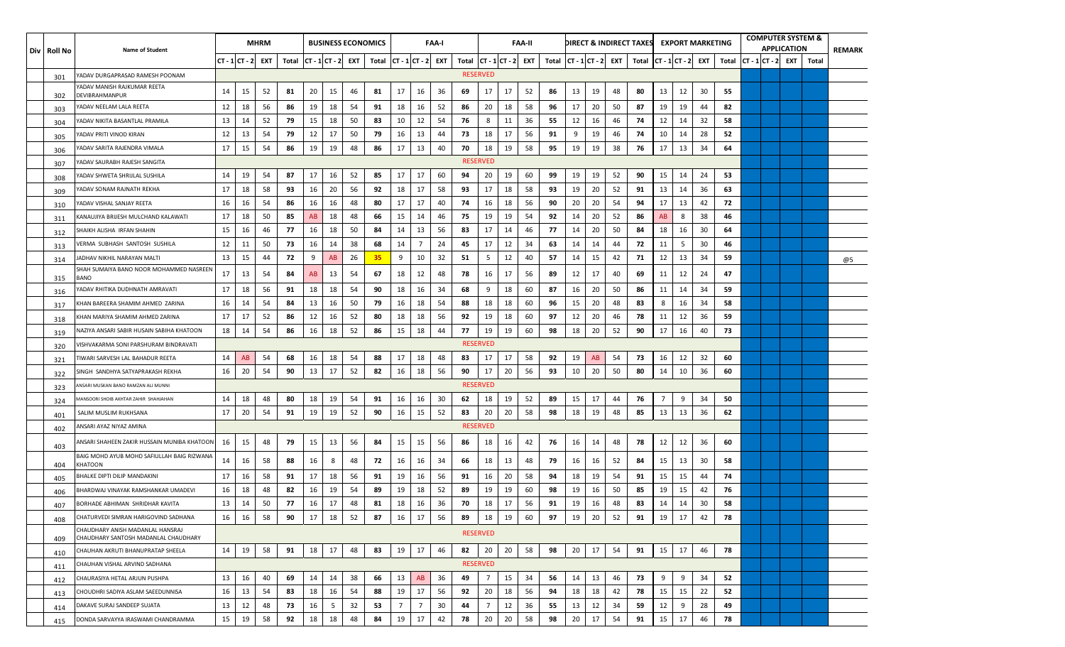| Div   Roll No | <b>Name of Student</b>                                                   |    |                  | <b>MHRM</b> |       |           |                | <b>BUSINESS ECONOMICS</b> |       |                        |    | <b>FAA-I</b> |                         |                 |    | FAA-II |       |                |    |     | DIRECT & INDIRECT TAXES |    |                   | <b>EXPORT MARKETING</b> |       |                   | <b>COMPUTER SYSTEM &amp;</b><br><b>APPLICATION</b> |       | <b>REMARK</b> |
|---------------|--------------------------------------------------------------------------|----|------------------|-------------|-------|-----------|----------------|---------------------------|-------|------------------------|----|--------------|-------------------------|-----------------|----|--------|-------|----------------|----|-----|-------------------------|----|-------------------|-------------------------|-------|-------------------|----------------------------------------------------|-------|---------------|
|               |                                                                          |    | $CT - 1 CT - 2 $ | EXT         | Total |           | $CT - 1CT - 2$ | EXT                       | Total | $CT - 1   CT - 2 $ EXT |    |              | Total $ CT - 1 CT - 2 $ |                 |    | EXT    | Total | $CT - 1CT - 2$ |    | EXT | Total                   |    | $CT - 1$ $CT - 2$ | EXT                     | Total | $ CT - 1 CT - 2 $ | EXT                                                | Total |               |
| 301           | ADAV DURGAPRASAD RAMESH POONAM                                           |    |                  |             |       |           |                |                           |       |                        |    |              |                         | <b>RESERVED</b> |    |        |       |                |    |     |                         |    |                   |                         |       |                   |                                                    |       |               |
| 302           | YADAV MANISH RAJKUMAR REETA<br>DEVIBRAHMANPUR                            | 14 | 15               | 52          | 81    | 20        | 15             | 46                        | 81    | 17                     | 16 | 36           | 69                      | 17              | 17 | 52     | 86    | 13             | 19 | 48  | 80                      | 13 | 12                | 30                      | 55    |                   |                                                    |       |               |
| 303           | ADAV NEELAM LALA REETA                                                   | 12 | 18               | 56          | 86    | 19        | 18             | 54                        | 91    | 18                     | 16 | 52           | 86                      | 20              | 18 | 58     | 96    | 17             | 20 | 50  | 87                      | 19 | 19                | 44                      | 82    |                   |                                                    |       |               |
| 304           | ADAV NIKITA BASANTLAL PRAMILA                                            | 13 | 14               | 52          | 79    | 15        | 18             | 50                        | 83    | 10                     | 12 | 54           | 76                      | 8               | 11 | 36     | 55    | 12             | 16 | 46  | 74                      | 12 | 14                | 32                      | 58    |                   |                                                    |       |               |
| 305           | ADAV PRITI VINOD KIRAN                                                   | 12 | 13               | 54          | 79    | 12        | 17             | 50                        | 79    | 16                     | 13 | 44           | 73                      | 18              | 17 | 56     | 91    | 9              | 19 | 46  | 74                      | 10 | 14                | 28                      | 52    |                   |                                                    |       |               |
| 306           | ADAV SARITA RAJENDRA VIMALA                                              | 17 | 15               | 54          | 86    | 19        | 19             | 48                        | 86    | 17                     | 13 | 40           | 70                      | 18              | 19 | 58     | 95    | 19             | 19 | 38  | 76                      | 17 | 13                | 34                      | 64    |                   |                                                    |       |               |
| 307           | ADAV SAURABH RAJESH SANGITA                                              |    |                  |             |       |           |                |                           |       |                        |    |              |                         | <b>RESERVED</b> |    |        |       |                |    |     |                         |    |                   |                         |       |                   |                                                    |       |               |
| 308           | YADAV SHWETA SHRIJLAL SUSHILA                                            | 14 | 19               | 54          | 87    | 17        | 16             | 52                        | 85    | 17                     | 17 | 60           | 94                      | 20              | 19 | 60     | 99    | 19             | 19 | 52  | 90                      | 15 | 14                | 24                      | 53    |                   |                                                    |       |               |
| 309           | ADAV SONAM RAJNATH REKHA                                                 | 17 | 18               | 58          | 93    | 16        | 20             | 56                        | 92    | 18                     | 17 | 58           | 93                      | 17              | 18 | 58     | 93    | 19             | 20 | 52  | 91                      | 13 | 14                | 36                      | 63    |                   |                                                    |       |               |
| 310           | YADAV VISHAL SANJAY REETA                                                | 16 | 16               | 54          | 86    | 16        | 16             | 48                        | 80    | 17                     | 17 | 40           | 74                      | 16              | 18 | 56     | 90    | 20             | 20 | 54  | 94                      | 17 | 13                | 42                      | 72    |                   |                                                    |       |               |
| 311           | KANAUJIYA BRIJESH MULCHAND KALAWATI                                      | 17 | 18               | 50          | 85    | <b>AB</b> | 18             | 48                        | 66    | 15                     | 14 | 46           | 75                      | 19              | 19 | 54     | 92    | 14             | 20 | 52  | 86                      | AB | 8                 | 38                      | 46    |                   |                                                    |       |               |
| 312           | SHAIKH ALISHA IRFAN SHAHIN                                               | 15 | 16               | 46          | 77    | 16        | 18             | 50                        | 84    | 14                     | 13 | 56           | 83                      | 17              | 14 | 46     | -77   | 14             | 20 | 50  | 84                      | 18 | 16                | 30                      | 64    |                   |                                                    |       |               |
| 313           | VERMA SUBHASH SANTOSH SUSHILA                                            | 12 | 11               | 50          | 73    | 16        | 14             | 38                        | 68    | 14                     | 7  | 24           | 45                      | 17              | 12 | 34     | 63    | 14             | 14 | 44  | 72                      | 11 | 5                 | 30                      | 46    |                   |                                                    |       |               |
| 314           | IADHAV NIKHIL NARAYAN MALTI                                              | 13 | 15               | 44          | 72    | 9         | AB             | 26                        | 35    | 9                      | 10 | 32           | 51                      | 5               | 12 | 40     | -57   | 14             | 15 | 42  | 71                      | 12 | 13                | 34                      | 59    |                   |                                                    |       | @5            |
| 315           | SHAH SUMAIYA BANO NOOR MOHAMMED NASREEN<br>BANO                          | 17 | 13               | 54          | 84    | AB        | 13             | 54                        | 67    | 18                     | 12 | 48           | 78                      | 16              | 17 | 56     | 89    | 12             | 17 | 40  | 69                      | 11 | 12                | 24                      | 47    |                   |                                                    |       |               |
| 316           | ADAV RHITIKA DUDHNATH AMRAVATI                                           | 17 | 18               | 56          | 91    | 18        | 18             | 54                        | 90    | 18                     | 16 | 34           | 68                      | 9               | 18 | 60     | 87    | 16             | 20 | 50  | 86                      | 11 | 14                | 34                      | 59    |                   |                                                    |       |               |
| 317           | KHAN BAREERA SHAMIM AHMED ZARINA                                         | 16 | 14               | 54          | 84    | 13        | 16             | 50                        | 79    | 16                     | 18 | 54           | 88                      | 18              | 18 | 60     | 96    | 15             | 20 | 48  | 83                      | 8  | 16                | 34                      | 58    |                   |                                                    |       |               |
| 318           | (HAN MARIYA SHAMIM AHMED ZARINA                                          | 17 | 17               | 52          | 86    | 12        | 16             | 52                        | 80    | 18                     | 18 | 56           | 92                      | 19              | 18 | 60     | 97    | 12             | 20 | 46  | 78                      | 11 | 12                | 36                      | 59    |                   |                                                    |       |               |
| 319           | NAZIYA ANSARI SABIR HUSAIN SABIHA KHATOON                                | 18 | 14               | 54          | 86    | 16        | 18             | 52                        | 86    | 15                     | 18 | 44           | 77                      | 19              | 19 | 60     | 98    | 18             | 20 | 52  | 90                      | 17 | 16                | 40                      | 73    |                   |                                                    |       |               |
| 320           | /ISHVAKARMA SONI PARSHURAM BINDRAVATI                                    |    |                  |             |       |           |                |                           |       |                        |    |              |                         | <b>RESERVED</b> |    |        |       |                |    |     |                         |    |                   |                         |       |                   |                                                    |       |               |
| 321           | TIWARI SARVESH LAL BAHADUR REETA                                         | 14 | AB               | 54          | 68    | 16        | 18             | 54                        | 88    | 17                     | 18 | 48           | 83                      | 17              | 17 | 58     | 92    | 19             | AB | 54  | 73                      | 16 | 12                | 32                      | 60    |                   |                                                    |       |               |
| 322           | SINGH SANDHYA SATYAPRAKASH REKHA                                         | 16 | 20               | 54          | 90    | 13        | 17             | 52                        | 82    | 16                     | 18 | 56           | 90                      | 17              | 20 | 56     | 93    | 10             | 20 | 50  | 80                      | 14 | 10                | 36                      | 60    |                   |                                                    |       |               |
| 323           | INSARI MUSKAN BANO RAMZAN ALI MUNNI                                      |    |                  |             |       |           |                |                           |       |                        |    |              |                         | <b>RESERVED</b> |    |        |       |                |    |     |                         |    |                   |                         |       |                   |                                                    |       |               |
| 324           | MANSOORI SHOIB AKHTAR ZAHIR SHAHJAHAN                                    | 14 | 18               | 48          | 80    | 18        | 19             | 54                        | 91    | 16                     | 16 | 30           | 62                      | 18              | 19 | 52     | 89    | 15             | 17 | 44  | 76                      | 7  | 9                 | 34                      | 50    |                   |                                                    |       |               |
| 401           | SALIM MUSLIM RUKHSANA                                                    | 17 | 20               | 54          | 91    | 19        | 19             | 52                        | 90    | 16                     | 15 | 52           | 83                      | 20              | 20 | 58     | 98    | 18             | 19 | 48  | 85                      | 13 | 13                | 36                      | 62    |                   |                                                    |       |               |
| 402           | ANSARI AYAZ NIYAZ AMINA                                                  |    |                  |             |       |           |                |                           |       |                        |    |              |                         | <b>RESERVED</b> |    |        |       |                |    |     |                         |    |                   |                         |       |                   |                                                    |       |               |
| 403           | ANSARI SHAHEEN ZAKIR HUSSAIN MUNIBA KHATOON                              | 16 | 15               | 48          | 79    | 15        | 13             | 56                        | 84    | 15                     | 15 | 56           | 86                      | 18              | 16 | 42     | 76    | 16             | 14 | 48  | 78                      | 12 | 12                | 36                      | 60    |                   |                                                    |       |               |
| 404           | BAIG MOHD AYUB MOHD SAFIULLAH BAIG RIZWANA<br>KHATOON                    | 14 | 16               | 58          | 88    | 16        | 8              | 48                        | 72    | 16                     | 16 | 34           | 66                      | 18              | 13 | 48     | 79    | 16             | 16 | 52  | 84                      | 15 | 13                | 30                      | 58    |                   |                                                    |       |               |
| 405           | BHALKE DIPTI DILIP MANDAKINI                                             | 17 | 16               | 58          | 91    | 17        | 18             | 56                        | 91    | 19                     | 16 | 56           | 91                      | 16              | 20 | 58     | 94    | 18             | 19 | 54  | 91                      | 15 | 15                | 44                      | 74    |                   |                                                    |       |               |
| 406           | BHARDWAJ VINAYAK RAMSHANKAR UMADEVI                                      | 16 | 18               | 48          | 82    | 16        | 19             | 54                        | 89    | 19                     | 18 | 52           | 89                      | 19              | 19 | 60     | 98    | 19             | 16 | 50  | 85                      | 19 | 15                | 42                      | 76    |                   |                                                    |       |               |
| 407           | BORHADE ABHIMAN SHRIDHAR KAVITA                                          | 13 | 14               | 50          | 77    | 16        | 17             | 48                        | 81    | 18                     | 16 | 36           | 70                      | 18              | 17 | 56     | 91    | 19             | 16 | 48  | 83                      | 14 | 14                | 30                      | 58    |                   |                                                    |       |               |
| 408           | CHATURVEDI SIMRAN HARIGOVIND SADHANA                                     | 16 | 16               | 58          | 90    | 17        | 18             | 52                        | 87    | 16                     | 17 | 56           | 89                      | 18              | 19 | 60     | 97    | 19             | 20 | 52  | 91                      | 19 | 17                | 42                      | 78    |                   |                                                    |       |               |
| 409           | CHAUDHARY ANISH MADANLAL HANSRAJ<br>CHAUDHARY SANTOSH MADANLAL CHAUDHARY |    |                  |             |       |           |                |                           |       |                        |    |              |                         | <b>RESERVED</b> |    |        |       |                |    |     |                         |    |                   |                         |       |                   |                                                    |       |               |
| 410           | CHAUHAN AKRUTI BHANUPRATAP SHEELA                                        | 14 | 19               | 58          | 91    | 18        | 17             | 48                        | 83    | 19                     | 17 | 46           | 82                      | 20              | 20 | 58     | 98    | 20             | 17 | 54  | 91                      | 15 | 17                | 46                      | 78    |                   |                                                    |       |               |
| 411           | CHAUHAN VISHAL ARVIND SADHANA                                            |    |                  |             |       |           |                |                           |       |                        |    |              |                         | <b>RESERVED</b> |    |        |       |                |    |     |                         |    |                   |                         |       |                   |                                                    |       |               |
| 412           | CHAURASIYA HETAL ARJUN PUSHPA                                            | 13 | 16               | 40          | 69    | 14        | 14             | 38                        | 66    | 13                     | AB | 36           | 49                      | 7               | 15 | 34     | 56    | 14             | 13 | 46  | 73                      | 9  | 9                 | 34                      | 52    |                   |                                                    |       |               |
| 413           | CHOUDHRI SADIYA ASLAM SAEEDUNNISA                                        | 16 | 13               | 54          | 83    | 18        | 16             | 54                        | 88    | 19                     | 17 | 56           | 92                      | 20              | 18 | 56     | 94    | 18             | 18 | 42  | 78                      | 15 | 15                | 22                      | 52    |                   |                                                    |       |               |
| 414           | DAKAVE SURAJ SANDEEP SUJATA                                              | 13 | 12               | 48          | 73    | 16        | 5              | 32                        | 53    | $\overline{7}$         | 7  | 30           | 44                      | 7               | 12 | 36     | 55    | 13             | 12 | 34  | 59                      | 12 | 9                 | 28                      | 49    |                   |                                                    |       |               |
| 415           | DONDA SARVAYYA IRASWAMI CHANDRAMMA                                       | 15 | 19               | 58          | 92    | 18        | 18             | 48                        | 84    | 19                     | 17 | 42           | 78                      | 20              | 20 | 58     | 98    | 20             | 17 | 54  | 91                      | 15 | 17                | 46                      | 78    |                   |                                                    |       |               |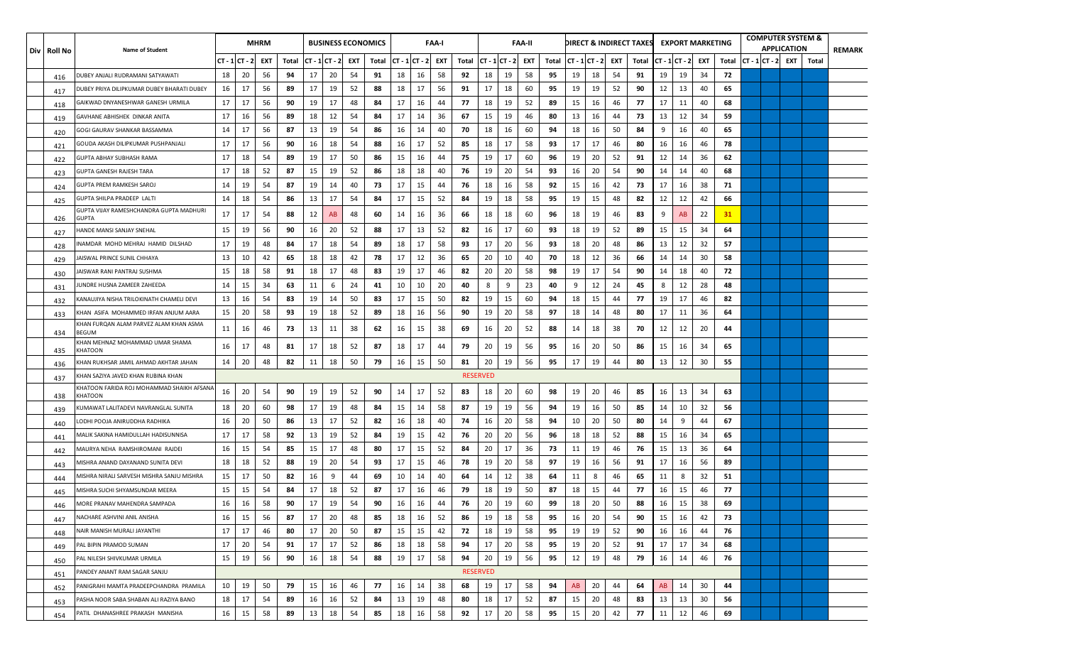| Div Roll No | <b>Name of Student</b>                               |    |               | <b>MHRM</b> |       |                |    |     | <b>BUSINESS ECONOMICS</b> |    |                    | FAA-I |       |                 |               | <b>FAA-II</b> |       |                |    |     | DIRECT & INDIRECT TAXES EXPORT MARKETING |           |               |     |       |                  | <b>COMPUTER SYSTEM &amp;</b><br><b>APPLICATION</b> |       | <b>REMARK</b> |
|-------------|------------------------------------------------------|----|---------------|-------------|-------|----------------|----|-----|---------------------------|----|--------------------|-------|-------|-----------------|---------------|---------------|-------|----------------|----|-----|------------------------------------------|-----------|---------------|-----|-------|------------------|----------------------------------------------------|-------|---------------|
|             |                                                      |    | CT - 1 CT - 2 | EXT         | Total | $CT - 1CT - 2$ |    | EXT | Total                     |    | $CT - 1   CT - 2 $ | EXT   | Total |                 | CT - 1 CT - 2 | EXT           | Total | $CT - 1CT - 2$ |    | EXT | Total                                    |           | CT - 1 CT - 2 | EXT | Total | $CT - 1 CT - 2 $ | EXT                                                | Total |               |
| 416         | DUBEY ANJALI RUDRAMANI SATYAWATI                     | 18 | 20            | 56          | 94    | 17             | 20 | 54  | 91                        | 18 | 16                 | 58    | 92    | 18              | 19            | 58            | 95    | 19             | 18 | 54  | 91                                       | 19        | 19            | 34  | 72    |                  |                                                    |       |               |
| 417         | OUBEY PRIYA DILIPKUMAR DUBEY BHARATI DUBEY           | 16 | 17            | 56          | 89    | 17             | 19 | 52  | 88                        | 18 | 17                 | 56    | 91    | 17              | 18            | 60            | 95    | 19             | 19 | 52  | 90                                       | 12        | 13            | 40  | 65    |                  |                                                    |       |               |
| 418         | SAIKWAD DNYANESHWAR GANESH URMILA                    | 17 | 17            | 56          | 90    | 19             | 17 | 48  | 84                        | 17 | 16                 | 44    | 77    | 18              | 19            | 52            | 89    | 15             | 16 | 46  | 77                                       | 17        | 11            | 40  | 68    |                  |                                                    |       |               |
| 419         | GAVHANE ABHISHEK DINKAR ANITA                        | 17 | 16            | 56          | 89    | 18             | 12 | 54  | 84                        | 17 | 14                 | 36    | 67    | 15              | 19            | 46            | 80    | 13             | 16 | 44  | 73                                       | 13        | 12            | 34  | 59    |                  |                                                    |       |               |
| 420         | GOGI GAURAV SHANKAR BASSAMMA                         | 14 | 17            | 56          | 87    | 13             | 19 | 54  | 86                        | 16 | 14                 | 40    | 70    | 18              | 16            | 60            | 94    | 18             | 16 | 50  | 84                                       | 9         | 16            | 40  | 65    |                  |                                                    |       |               |
| 421         | GOUDA AKASH DILIPKUMAR PUSHPANJALI                   | 17 | 17            | 56          | 90    | 16             | 18 | 54  | 88                        | 16 | 17                 | 52    | 85    | 18              | 17            | 58            | 93    | 17             | 17 | 46  | 80                                       | 16        | 16            | 46  | 78    |                  |                                                    |       |               |
| 422         | GUPTA ABHAY SUBHASH RAMA                             | 17 | 18            | 54          | 89    | 19             | 17 | 50  | 86                        | 15 | 16                 | 44    | 75    | 19              | 17            | 60            | 96    | 19             | 20 | 52  | 91                                       | 12        | 14            | 36  | 62    |                  |                                                    |       |               |
| 423         | GUPTA GANESH RAJESH TARA                             | 17 | 18            | 52          | 87    | 15             | 19 | 52  | 86                        | 18 | 18                 | 40    | 76    | 19              | 20            | 54            | 93    | 16             | 20 | 54  | 90                                       | 14        | 14            | 40  | 68    |                  |                                                    |       |               |
| 424         | GUPTA PREM RAMKESH SAROJ                             | 14 | 19            | 54          | 87    | 19             | 14 | 40  | 73                        | 17 | 15                 | 44    | 76    | 18              | 16            | 58            | 92    | 15             | 16 | 42  | 73                                       | 17        | 16            | 38  | 71    |                  |                                                    |       |               |
| 425         | GUPTA SHILPA PRADEEP LALTI                           | 14 | 18            | 54          | 86    | 13             | 17 | 54  | 84                        | 17 | 15                 | 52    | 84    | 19              | 18            | 58            | 95    | 19             | 15 | 48  | 82                                       | 12        | 12            | 42  | 66    |                  |                                                    |       |               |
| 426         | GUPTA VIJAY RAMESHCHANDRA GUPTA MADHURI<br>GUPTA     | 17 | 17            | 54          | 88    | 12             | AB | 48  | 60                        | 14 | 16                 | 36    | 66    | 18              | 18            | 60            | 96    | 18             | 19 | 46  | 83                                       | 9         | AB            | 22  | 31    |                  |                                                    |       |               |
| 427         | HANDE MANSI SANJAY SNEHAL                            | 15 | 19            | 56          | 90    | 16             | 20 | 52  | 88                        | 17 | 13                 | 52    | 82    | 16              | 17            | 60            | 93    | 18             | 19 | 52  | 89                                       | 15        | 15            | 34  | 64    |                  |                                                    |       |               |
| 428         | NAMDAR MOHD MEHRAJ HAMID DILSHAD                     | 17 | 19            | 48          | 84    | 17             | 18 | 54  | 89                        | 18 | 17                 | 58    | 93    | 17              | 20            | 56            | 93    | 18             | 20 | 48  | 86                                       | 13        | 12            | 32  | 57    |                  |                                                    |       |               |
| 429         | AISWAL PRINCE SUNIL CHHAYA                           | 13 | 10            | 42          | 65    | 18             | 18 | 42  | 78                        | 17 | 12                 | 36    | 65    | 20              | 10            | 40            | 70    | 18             | 12 | 36  | 66                                       | 14        | 14            | 30  | 58    |                  |                                                    |       |               |
| 430         | AISWAR RANI PANTRAJ SUSHMA                           | 15 | 18            | 58          | 91    | 18             | 17 | 48  | 83                        | 19 | 17                 | 46    | 82    | 20              | 20            | 58            | 98    | 19             | 17 | 54  | 90                                       | 14        | 18            | 40  | 72    |                  |                                                    |       |               |
| 431         | UNDRE HUSNA ZAMEER ZAHEEDA                           | 14 | 15            | 34          | 63    | 11             | 6  | 24  | 41                        | 10 | 10                 | 20    | 40    | 8               | 9             | 23            | 40    | 9              | 12 | 24  | 45                                       | 8         | 12            | 28  | 48    |                  |                                                    |       |               |
| 432         | KANAUJIYA NISHA TRILOKINATH CHAMELI DEVI             | 13 | 16            | 54          | 83    | 19             | 14 | 50  | 83                        | 17 | 15                 | 50    | 82    | 19              | 15            | 60            | 94    | 18             | 15 | 44  | 77                                       | 19        | 17            | 46  | 82    |                  |                                                    |       |               |
| 433         | KHAN ASIFA MOHAMMED IRFAN ANJUM AARA                 | 15 | 20            | 58          | 93    | 19             | 18 | 52  | 89                        | 18 | 16                 | 56    | 90    | 19              | 20            | 58            | 97    | 18             | 14 | 48  | 80                                       | 17        | 11            | 36  | 64    |                  |                                                    |       |               |
| 434         | KHAN FURQAN ALAM PARVEZ ALAM KHAN ASMA<br>BEGUM      | 11 | 16            | 46          | 73    | 13             | 11 | 38  | 62                        | 16 | 15                 | 38    | 69    | 16              | 20            | 52            | 88    | 14             | 18 | 38  | 70                                       | 12        | 12            | 20  | 44    |                  |                                                    |       |               |
| 435         | KHAN MEHNAZ MOHAMMAD UMAR SHAMA<br>KHATOON           | 16 | 17            | 48          | 81    | 17             | 18 | 52  | 87                        | 18 | 17                 | 44    | 79    | 20              | 19            | 56            | 95    | 16             | 20 | 50  | 86                                       | 15        | 16            | -34 | 65    |                  |                                                    |       |               |
| 436         | (HAN RUKHSAR JAMIL AHMAD AKHTAR JAHAN                | 14 | 20            | 48          | 82    | 11             | 18 | 50  | 79                        | 16 | 15                 | 50    | 81    | 20              | 19            | 56            | 95    | 17             | 19 | 44  | 80                                       | 13        | 12            | 30  | 55    |                  |                                                    |       |               |
| 437         | (HAN SAZIYA JAVED KHAN RUBINA KHAN                   |    |               |             |       |                |    |     |                           |    |                    |       |       | <b>RESERVED</b> |               |               |       |                |    |     |                                          |           |               |     |       |                  |                                                    |       |               |
| 438         | KHATOON FARIDA ROJ MOHAMMAD SHAIKH AFSANA<br>KHATOON | 16 | 20            | 54          | 90    | 19             | 19 | 52  | 90                        | 14 | 17                 | 52    | 83    | 18              | 20            | 60            | 98    | 19             | 20 | 46  | 85                                       | 16        | 13            | -34 | 63    |                  |                                                    |       |               |
| 439         | (UMAWAT LALITADEVI NAVRANGLAL SUNITA                 | 18 | 20            | 60          | 98    | 17             | 19 | 48  | 84                        | 15 | 14                 | 58    | 87    | 19              | 19            | 56            | 94    | 19             | 16 | 50  | 85                                       | 14        | 10            | 32  | 56    |                  |                                                    |       |               |
| 440         | ODHI POOJA ANIRUDDHA RADHIKA.                        | 16 | 20            | 50          | 86    | 13             | 17 | 52  | 82                        | 16 | 18                 | 40    | 74    | 16              | 20            | 58            | 94    | 10             | 20 | 50  | 80                                       | 14        | 9             | 44  | 67    |                  |                                                    |       |               |
| 441         | MALIK SAKINA HAMIDULLAH HADISUNNISA                  | 17 | 17            | 58          | 92    | 13             | 19 | 52  | 84                        | 19 | 15                 | 42    | 76    | 20              | 20            | 56            | 96    | 18             | 18 | 52  | 88                                       | 15        | 16            | 34  | 65    |                  |                                                    |       |               |
| 442         | MAURYA NEHA RAMSHIROMANI RAJDEI                      | 16 | 15            | 54          | 85    | 15             | 17 | 48  | 80                        | 17 | 15                 | 52    | 84    | 20              | 17            | 36            | 73    | 11             | 19 | 46  | 76                                       | 15        | 13            | 36  | 64    |                  |                                                    |       |               |
| 443         | VIISHRA ANAND DAYANAND SUNITA DEVI                   | 18 | 18            | 52          | 88    | 19             | 20 | 54  | 93                        | 17 | 15                 | 46    | 78    | 19              | 20            | 58            | 97    | 19             | 16 | 56  | 91                                       | 17        | 16            | 56  | 89    |                  |                                                    |       |               |
| 444         | VIISHRA NIRALI SARVESH MISHRA SANJU MISHRA           | 15 | 17            | 50          | 82    | 16             | 9  | 44  | 69                        | 10 | 14                 | 40    | 64    | 14              | 12            | 38            | 64    | 11             | 8  | 46  | 65                                       | 11        | 8             | 32  | 51    |                  |                                                    |       |               |
| 445         | VIISHRA SUCHI SHYAMSUNDAR MEERA                      | 15 | 15            | 54          | 84    | 17             | 18 | 52  | 87                        | 17 | 16                 | 46    | 79    | 18              | 19            | 50            | 87    | 18             | 15 | 44  | 77                                       | 16        | 15            | 46  | 77    |                  |                                                    |       |               |
| 446         | MORE PRANAV MAHENDRA SAMPADA                         | 16 | 16            | 58          | 90    | 17             | 19 | 54  | 90                        | 16 | 16                 | 44    | 76    | 20              | 19            | 60            | 99    | 18             | 20 | 50  | 88                                       | 16        | 15            | 38  | 69    |                  |                                                    |       |               |
| 447         | NACHARE ASHVINI ANIL ANISHA                          | 16 | 15            | 56          | 87    | 17             | 20 | 48  | 85                        | 18 | 16                 | 52    | 86    | 19              | 18            | 58            | 95    | 16             | 20 | 54  | 90                                       | 15        | 16            | 42  | -73   |                  |                                                    |       |               |
| 448         | NAIR MANISH MURALI JAYANTHI                          | 17 | 17            | 46          | 80    | 17             | 20 | 50  | 87                        | 15 | 15                 | 42    | 72    | 18              | 19            | 58            | 95    | 19             | 19 | 52  | 90                                       | 16        | 16            | 44  | 76    |                  |                                                    |       |               |
| 449         | PAL BIPIN PRAMOD SUMAN                               | 17 | 20            | 54          | 91    | 17             | 17 | 52  | 86                        | 18 | 18                 | 58    | 94    | 17              | 20            | 58            | 95    | 19             | 20 | 52  | 91                                       | 17        | 17            | 34  | 68    |                  |                                                    |       |               |
| 450         | PAL NILESH SHIVKUMAR URMILA                          | 15 | 19            | 56          | 90    | 16             | 18 | 54  | 88                        | 19 | 17                 | 58    | 94    | 20              | 19            | 56            | 95    | 12             | 19 | 48  | 79                                       | 16        | 14            | 46  | 76    |                  |                                                    |       |               |
| 451         | PANDEY ANANT RAM SAGAR SANJU                         |    |               |             |       |                |    |     |                           |    |                    |       |       | <b>RESERVED</b> |               |               |       |                |    |     |                                          |           |               |     |       |                  |                                                    |       |               |
| 452         | PANIGRAHI MAMTA PRADEEPCHANDRA PRAMILA               | 10 | 19            | 50          | 79    | 15             | 16 | 46  | 77                        | 16 | 14                 | 38    | 68    | 19              | 17            | 58            | 94    | AB             | 20 | 44  | 64                                       | <b>AB</b> | 14            | 30  | 44    |                  |                                                    |       |               |
| 453         | PASHA NOOR SABA SHABAN ALI RAZIYA BANO               | 18 | 17            | 54          | 89    | 16             | 16 | 52  | 84                        | 13 | 19                 | 48    | 80    | 18              | 17            | 52            | 87    | 15             | 20 | 48  | 83                                       | 13        | 13            | 30  | 56    |                  |                                                    |       |               |
| 454         | PATIL DHANASHREE PRAKASH MANISHA                     | 16 | 15            | 58          | 89    | 13             | 18 | 54  | 85                        | 18 | 16                 | 58    | 92    | 17              | 20            | 58            | 95    | 15             | 20 | 42  | 77                                       | 11        | 12            | 46  | 69    |                  |                                                    |       |               |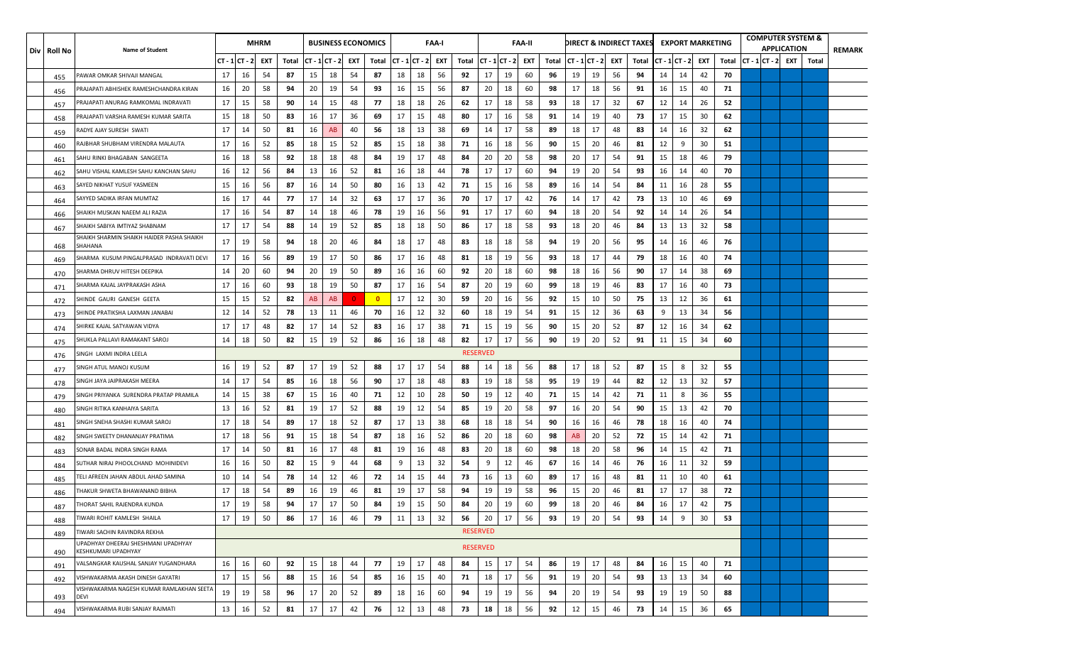| Div   Roll No | <b>Name of Student</b>                                     |                |    | <b>MHRM</b> |       |                  |    |                | <b>BUSINESS ECONOMICS</b> |    |                  | <b>FAA-I</b> |       |                 |                | <b>FAA-II</b> |       |                       |    |    | DIRECT & INDIRECT TAXES |    |                  | <b>EXPORT MARKETING</b> |       |  | <b>COMPUTER SYSTEM &amp;</b><br><b>APPLICATION</b> |       | <b>REMARK</b> |
|---------------|------------------------------------------------------------|----------------|----|-------------|-------|------------------|----|----------------|---------------------------|----|------------------|--------------|-------|-----------------|----------------|---------------|-------|-----------------------|----|----|-------------------------|----|------------------|-------------------------|-------|--|----------------------------------------------------|-------|---------------|
|               |                                                            | $CT - 1CT - 2$ |    | EXT         | Total | $CT - 1 CT - 2 $ |    | EXT            | Total                     |    | $CT - 1 CT - 2 $ | <b>EXT</b>   | Total |                 | $CT - 1CT - 2$ | EXT           | Total | $ CT - 1 CT - 2 $ EXT |    |    | Total                   |    | $CT - 1 CT - 2 $ | EXT                     | Total |  | $ CT - 1 CT - 2 $ EXT                              | Total |               |
| 455           | PAWAR OMKAR SHIVAJI MANGAL                                 | 17             | 16 | 54          | 87    | 15               | 18 | 54             | 87                        | 18 | 18               | 56           | 92    | 17              | 19             | 60            | 96    | 19                    | 19 | 56 | 94                      | 14 | 14               | 42                      | 70    |  |                                                    |       |               |
| 456           | PRAJAPATI ABHISHEK RAMESHCHANDRA KIRAN                     | 16             | 20 | 58          | 94    | 20               | 19 | 54             | 93                        | 16 | 15               | 56           | 87    | 20              | 18             | 60            | 98    | 17                    | 18 | 56 | 91                      | 16 | 15               | 40                      | 71    |  |                                                    |       |               |
| 457           | PRAJAPATI ANURAG RAMKOMAL INDRAVATI                        | 17             | 15 | 58          | 90    | 14               | 15 | 48             | 77                        | 18 | 18               | 26           | 62    | 17              | 18             | 58            | 93    | 18                    | 17 | 32 | 67                      | 12 | 14               | -26                     | 52    |  |                                                    |       |               |
| 458           | PRAJAPATI VARSHA RAMESH KUMAR SARITA                       | 15             | 18 | 50          | 83    | 16               | 17 | 36             | 69                        | 17 | 15               | 48           | 80    | 17              | 16             | 58            | 91    | 14                    | 19 | 40 | 73                      | 17 | 15               | 30                      | 62    |  |                                                    |       |               |
| 459           | RADYE AJAY SURESH SWATI                                    | 17             | 14 | 50          | 81    | 16               | AB | 40             | 56                        | 18 | 13               | 38           | 69    | 14              | 17             | 58            | 89    | 18                    | 17 | 48 | 83                      | 14 | 16               | 32                      | 62    |  |                                                    |       |               |
| 460           | RAJBHAR SHUBHAM VIRENDRA MALAUTA                           | 17             | 16 | 52          | 85    | 18               | 15 | 52             | 85                        | 15 | 18               | 38           | 71    | 16              | 18             | 56            | 90    | 15                    | 20 | 46 | 81                      | 12 | 9                | 30                      | 51    |  |                                                    |       |               |
| 461           | SAHU RINKI BHAGABAN  SANGEETA                              | 16             | 18 | 58          | 92    | 18               | 18 | 48             | 84                        | 19 | 17               | 48           | 84    | 20              | 20             | 58            | 98    | 20                    | 17 | 54 | 91                      | 15 | 18               | 46                      | 79    |  |                                                    |       |               |
| 462           | SAHU VISHAL KAMLESH SAHU KANCHAN SAHU                      | 16             | 12 | 56          | 84    | 13               | 16 | 52             | 81                        | 16 | 18               | 44           | 78    | 17              | 17             | 60            | 94    | 19                    | 20 | 54 | 93                      | 16 | 14               | 40                      | 70    |  |                                                    |       |               |
| 463           | SAYED NIKHAT YUSUF YASMEEN                                 | 15             | 16 | 56          | 87    | 16               | 14 | 50             | 80                        | 16 | 13               | 42           | 71    | 15              | 16             | 58            | 89    | 16                    | 14 | 54 | 84                      | 11 | 16               | 28                      | 55    |  |                                                    |       |               |
| 464           | SAYYED SADIKA IRFAN MUMTAZ                                 | 16             | 17 | 44          | -77   | 17               | 14 | 32             | 63                        | 17 | 17               | 36           | 70    | 17              | 17             | 42            | 76    | 14                    | 17 | 42 | 73                      | 13 | 10               | 46                      | 69    |  |                                                    |       |               |
| 466           | SHAIKH MUSKAN NAEEM ALI RAZIA                              | 17             | 16 | 54          | 87    | 14               | 18 | 46             | 78                        | 19 | 16               | 56           | 91    | 17              | 17             | 60            | 94    | 18                    | 20 | 54 | 92                      | 14 | 14               | -26                     | 54    |  |                                                    |       |               |
| 467           | SHAIKH SABIYA IMTIYAZ SHABNAM                              | 17             | 17 | 54          | 88    | 14               | 19 | 52             | 85                        | 18 | 18               | 50           | 86    | 17              | 18             | 58            | 93    | 18                    | 20 | 46 | 84                      | 13 | 13               | 32                      | 58    |  |                                                    |       |               |
| 468           | SHAIKH SHARMIN SHAIKH HAIDER PASHA SHAIKH<br>SHAHANA       | 17             | 19 | 58          | 94    | 18               | 20 | 46             | 84                        | 18 | 17               | 48           | 83    | 18              | 18             | 58            | 94    | 19                    | 20 | 56 | 95                      | 14 | 16               | 46                      | 76    |  |                                                    |       |               |
| 469           | SHARMA KUSUM PINGALPRASAD INDRAVATI DEVI                   | 17             | 16 | 56          | 89    | 19               | 17 | 50             | 86                        | 17 | 16               | 48           | 81    | 18              | 19             | 56            | 93    | 18                    | 17 | 44 | 79                      | 18 | 16               | 40                      | 74    |  |                                                    |       |               |
| 470           | SHARMA DHRUV HITESH DEEPIKA                                | 14             | 20 | 60          | 94    | 20               | 19 | 50             | 89                        | 16 | 16               | 60           | 92    | 20              | 18             | 60            | 98    | 18                    | 16 | 56 | 90                      | 17 | 14               | 38                      | 69    |  |                                                    |       |               |
| 471           | SHARMA KAJAL JAYPRAKASH ASHA                               | 17             | 16 | 60          | 93    | 18               | 19 | 50             | 87                        | 17 | 16               | 54           | 87    | 20              | 19             | 60            | 99    | 18                    | 19 | 46 | 83                      | 17 | 16               | 40                      | 73    |  |                                                    |       |               |
| 472           | SHINDE GAURI GANESH GEETA                                  | 15             | 15 | 52          | 82    | AB               | AB | $\overline{0}$ | $\overline{\mathbf{0}}$   | 17 | 12               | 30           | 59    | 20              | 16             | 56            | 92    | 15                    | 10 | 50 | 75                      | 13 | 12               | 36                      | 61    |  |                                                    |       |               |
| 473           | SHINDE PRATIKSHA LAXMAN JANABAI                            | 12             | 14 | 52          | 78    | 13               | 11 | 46             | 70                        | 16 | 12               | 32           | 60    | 18              | 19             | 54            | 91    | 15                    | 12 | 36 | 63                      | 9  | 13               | -34                     | 56    |  |                                                    |       |               |
| 474           | SHIRKE KAJAL SATYAWAN VIDYA                                | 17             | 17 | 48          | 82    | 17               | 14 | 52             | 83                        | 16 | 17               | 38           | 71    | 15              | 19             | 56            | 90    | 15                    | 20 | 52 | 87                      | 12 | 16               | 34                      | 62    |  |                                                    |       |               |
| 475           | SHUKLA PALLAVI RAMAKANT SAROJ                              | 14             | 18 | 50          | 82    | 15               | 19 | 52             | 86                        | 16 | 18               | 48           | 82    | 17              | 17             | 56            | 90    | 19                    | 20 | 52 | 91                      | 11 | 15               | 34                      | 60    |  |                                                    |       |               |
| 476           | SINGH LAXMI INDRA LEELA                                    |                |    |             |       |                  |    |                |                           |    |                  |              |       | <b>RESERVED</b> |                |               |       |                       |    |    |                         |    |                  |                         |       |  |                                                    |       |               |
| 477           | SINGH ATUL MANOJ KUSUM                                     | 16             | 19 | 52          | 87    | 17               | 19 | 52             | 88                        | 17 | 17               | 54           | 88    | 14              | 18             | 56            | 88    | 17                    | 18 | 52 | 87                      | 15 | 8                | 32                      | 55    |  |                                                    |       |               |
| 478           | SINGH JAYA JAIPRAKASH MEERA                                | 14             | 17 | 54          | 85    | 16               | 18 | 56             | 90                        | 17 | 18               | 48           | 83    | 19              | 18             | 58            | 95    | 19                    | 19 | 44 | 82                      | 12 | 13               | 32                      | 57    |  |                                                    |       |               |
| 479           | SINGH PRIYANKA SURENDRA PRATAP PRAMILA                     | 14             | 15 | 38          | 67    | 15               | 16 | 40             | 71                        | 12 | 10               | 28           | 50    | 19              | 12             | 40            | 71    | 15                    | 14 | 42 | 71                      | 11 | 8                | 36                      | 55    |  |                                                    |       |               |
| 480           | SINGH RITIKA KANHAIYA SARITA                               | 13             | 16 | 52          | 81    | 19               | 17 | 52             | 88                        | 19 | 12               | 54           | 85    | 19              | 20             | 58            | 97    | 16                    | 20 | 54 | 90                      | 15 | 13               | 42                      | 70    |  |                                                    |       |               |
| 481           | SINGH SNEHA SHASHI KUMAR SAROJ                             | 17             | 18 | 54          | 89    | 17               | 18 | 52             | 87                        | 17 | 13               | 38           | 68    | 18              | 18             | 54            | 90    | 16                    | 16 | 46 | 78                      | 18 | 16               | 40                      | 74    |  |                                                    |       |               |
| 482           | SINGH SWEETY DHANANJAY PRATIMA                             | 17             | 18 | 56          | 91    | 15               | 18 | 54             | 87                        | 18 | 16               | 52           | 86    | 20              | 18             | 60            | 98    | AB                    | 20 | 52 | 72                      | 15 | 14               | 42                      | 71    |  |                                                    |       |               |
| 483           | SONAR BADAL INDRA SINGH RAMA                               | 17             | 14 | 50          | 81    | 16               | 17 | 48             | 81                        | 19 | 16               | 48           | 83    | 20              | 18             | 60            | 98    | 18                    | 20 | 58 | 96                      | 14 | 15               | 42                      | 71    |  |                                                    |       |               |
| 484           | SUTHAR NIRAJ PHOOLCHAND MOHINIDEVI                         | 16             | 16 | 50          | 82    | 15               | 9  | 44             | 68                        | 9  | 13               | 32           | 54    | 9               | 12             | 46            | 67    | 16                    | 14 | 46 | 76                      | 16 | 11               | 32                      | 59    |  |                                                    |       |               |
| 485           | FELI AFREEN JAHAN ABDUL AHAD SAMINA                        | 10             | 14 | 54          | 78    | 14               | 12 | 46             | 72                        | 14 | 15               | 44           | 73    | 16              | 13             | 60            | 89    | 17                    | 16 | 48 | 81                      | 11 | 10               | 40                      | 61    |  |                                                    |       |               |
| 486           | THAKUR SHWETA BHAWANAND BIBHA                              | 17             | 18 | 54          | 89    | 16               | 19 | 46             | 81                        | 19 | 17               | 58           | 94    | 19              | 19             | 58            | 96    | 15                    | 20 | 46 | 81                      | 17 | 17               | 38                      | 72    |  |                                                    |       |               |
| 487           | THORAT SAHIL RAJENDRA KUNDA                                | 17             | 19 | 58          | 94    | 17               | 17 | 50             | 84                        | 19 | 15               | 50           | 84    | 20              | 19             | 60            | 99    | 18                    | 20 | 46 | 84                      | 16 | 17               | 42                      | 75    |  |                                                    |       |               |
| 488           | TIWARI ROHIT KAMLESH SHAILA                                | 17             | 19 | 50          | 86    | 17               | 16 | 46             | 79                        | 11 | 13               | 32           | 56    | 20              | 17             | 56            | 93    | 19                    | 20 | 54 | 93                      | 14 | 9                | 30                      | 53    |  |                                                    |       |               |
| 489           | TIWARI SACHIN RAVINDRA REKHA                               |                |    |             |       |                  |    |                |                           |    |                  |              |       | <b>RESERVED</b> |                |               |       |                       |    |    |                         |    |                  |                         |       |  |                                                    |       |               |
| 490           | UPADHYAY DHEERAJ SHESHMANI UPADHYAY<br>KESHKUMARI UPADHYAY |                |    |             |       |                  |    |                |                           |    |                  |              |       | <b>RESERVED</b> |                |               |       |                       |    |    |                         |    |                  |                         |       |  |                                                    |       |               |
| 491           | VALSANGKAR KAUSHAL SANJAY YUGANDHARA                       | 16             | 16 | 60          | 92    | 15               | 18 | 44             | 77                        | 19 | 17               | 48           | 84    | 15              | 17             | 54            | 86    | 19                    | 17 | 48 | 84                      | 16 | 15               | 40                      | 71    |  |                                                    |       |               |
| 492           | VISHWAKARMA AKASH DINESH GAYATRI                           | 17             | 15 | 56          | 88    | 15               | 16 | 54             | 85                        | 16 | 15               | 40           | 71    | 18              | 17             | 56            | 91    | 19                    | 20 | 54 | 93                      | 13 | 13               | 34                      | 60    |  |                                                    |       |               |
|               | VISHWAKARMA NAGESH KUMAR RAMLAKHAN SEETA                   | 19             | 19 | 58          | 96    | 17               | 20 | 52             | 89                        | 18 | 16               | 60           | 94    | 19              | 19             | -56           | 94    | 20                    | 19 | 54 | 93                      | 19 | 19               | 50                      | 88    |  |                                                    |       |               |
| 493<br>494    | <b>DEVI</b><br>VISHWAKARMA RUBI SANJAY RAJMATI             | 13             | 16 | 52          | 81    | 17               | 17 | 42             | 76                        | 12 | 13               | 48           | 73    | 18              | 18             | 56            | 92    | 12                    | 15 | 46 | 73                      | 14 | 15               | 36                      | 65    |  |                                                    |       |               |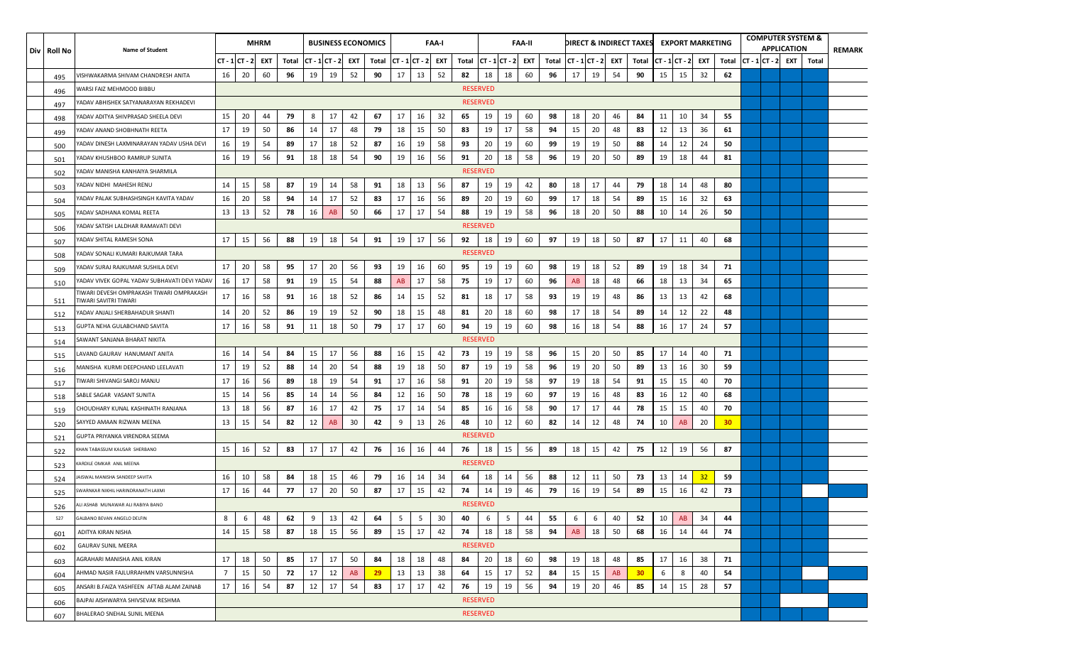| Div   Roll No | <b>Name of Student</b>                                            |                |               | <b>MHRM</b> |       |                  |    |     | <b>BUSINESS ECONOMICS</b> |                       |    | FAA-I |       |                 |                        | <b>FAA-II</b> |       |                    |    |     | DIRECT & INDIRECT TAXES |    | <b>EXPORT MARKETING</b> |     |                 |                | <b>COMPUTER SYSTEM &amp;</b><br><b>APPLICATION</b> |       | REMARK |
|---------------|-------------------------------------------------------------------|----------------|---------------|-------------|-------|------------------|----|-----|---------------------------|-----------------------|----|-------|-------|-----------------|------------------------|---------------|-------|--------------------|----|-----|-------------------------|----|-------------------------|-----|-----------------|----------------|----------------------------------------------------|-------|--------|
|               |                                                                   |                | CT - 1 CT - 2 | EXT         | Total | $CT - 1 CT - 2 $ |    | EXT | Total                     | $ CT - 1 CT - 2 $ EXT |    |       | Total |                 | $CT - 1   CT - 2 $ EXT |               | Total | $CT - 1   CT - 2 $ |    | EXT | Total                   |    | CT - 1 CT - 2           | EXT | Total           | $CT - 1CT - 2$ | <b>EXT</b>                                         | Total |        |
| 495           | VISHWAKARMA SHIVAM CHANDRESH ANITA                                | 16             | 20            | 60          | 96    | 19               | 19 | 52  | 90                        | 17                    | 13 | 52    | 82    | 18              | 18                     | 60            | 96    | 17                 | 19 | 54  | 90                      | 15 | 15                      | 32  | 62              |                |                                                    |       |        |
| 496           | WARSI FAIZ MEHMOOD BIBBU                                          |                |               |             |       |                  |    |     |                           |                       |    |       |       | <b>RESERVED</b> |                        |               |       |                    |    |     |                         |    |                         |     |                 |                |                                                    |       |        |
| 497           | ADAV ABHISHEK SATYANARAYAN REKHADEVI                              |                |               |             |       |                  |    |     |                           |                       |    |       |       | <b>RESERVED</b> |                        |               |       |                    |    |     |                         |    |                         |     |                 |                |                                                    |       |        |
| 498           | ADAV ADITYA SHIVPRASAD SHEELA DEVI'                               | 15             | 20            | 44          | 79    | 8                | 17 | 42  | 67                        | 17                    | 16 | 32    | 65    | 19              | 19                     | 60            | 98    | 18                 | 20 | 46  | 84                      | 11 | 10                      | 34  | 55              |                |                                                    |       |        |
| 499           | ADAV ANAND SHOBHNATH REETA                                        | 17             | 19            | 50          | 86    | 14               | 17 | 48  | 79                        | 18                    | 15 | 50    | 83    | 19              | 17                     | 58            | 94    | 15                 | 20 | 48  | 83                      | 12 | 13                      | 36  | 61              |                |                                                    |       |        |
| 500           | ADAV DINESH LAXMINARAYAN YADAV USHA DEVI                          | 16             | 19            | 54          | 89    | 17               | 18 | 52  | 87                        | 16                    | 19 | 58    | 93    | 20              | 19                     | 60            | 99    | 19                 | 19 | 50  | 88                      | 14 | 12                      | 24  | 50              |                |                                                    |       |        |
| 501           | ADAV KHUSHBOO RAMRUP SUNITA                                       | 16             | 19            | 56          | 91    | 18               | 18 | 54  | 90                        | 19                    | 16 | 56    | 91    | 20              | 18                     | 58            | 96    | 19                 | 20 | 50  | 89                      | 19 | 18                      | 44  | 81              |                |                                                    |       |        |
| 502           | ADAV MANISHA KANHAIYA SHARMILA                                    |                |               |             |       |                  |    |     |                           |                       |    |       |       | <b>RESERVED</b> |                        |               |       |                    |    |     |                         |    |                         |     |                 |                |                                                    |       |        |
| 503           | ADAV NIDHI MAHESH RENU                                            | 14             | 15            | 58          | 87    | 19               | 14 | 58  | 91                        | 18                    | 13 | 56    | 87    | 19              | 19                     | 42            | 80    | 18                 | 17 | 44  | 79                      | 18 | 14                      | 48  | 80              |                |                                                    |       |        |
| 504           | ADAV PALAK SUBHASHSINGH KAVITA YADAV                              | 16             | 20            | 58          | 94    | 14               | 17 | 52  | 83                        | 17                    | 16 | 56    | 89    | 20              | 19                     | 60            | 99    | 17                 | 18 | 54  | 89                      | 15 | 16                      | 32  | 63              |                |                                                    |       |        |
| 505           | ADAV SADHANA KOMAL REETA                                          | 13             | 13            | 52          | 78    | 16               | AB | 50  | 66                        | 17                    | 17 | 54    | 88    | 19              | 19                     | 58            | 96    | 18                 | 20 | 50  | 88                      | 10 | 14                      | 26  | 50              |                |                                                    |       |        |
| 506           | ADAV SATISH LALDHAR RAMAVATI DEVI                                 |                |               |             |       |                  |    |     |                           |                       |    |       |       | <b>RESERVED</b> |                        |               |       |                    |    |     |                         |    |                         |     |                 |                |                                                    |       |        |
| 507           | YADAV SHITAL RAMESH SONA                                          | 17             | 15            | 56          | 88    | 19               | 18 | 54  | 91                        | 19                    | 17 | 56    | 92    | 18              | 19                     | 60            | 97    | 19                 | 18 | 50  | 87                      | 17 | 11                      | 40  | 68              |                |                                                    |       |        |
| 508           | ADAV SONALI KUMARI RAJKUMAR TARA                                  |                |               |             |       |                  |    |     |                           |                       |    |       |       | <b>RESERVED</b> |                        |               |       |                    |    |     |                         |    |                         |     |                 |                |                                                    |       |        |
| 509           | ADAV SURAJ RAJKUMAR SUSHILA DEVI                                  | 17             | 20            | 58          | 95    | 17               | 20 | 56  | 93                        | 19                    | 16 | 60    | 95    | 19              | 19                     | 60            | 98    | 19                 | 18 | 52  | 89                      | 19 | 18                      | 34  | 71              |                |                                                    |       |        |
| 510           | ADAV VIVEK GOPAL YADAV SUBHAVATI DEVI YADAV                       | 16             | 17            | 58          | 91    | 19               | 15 | 54  | 88                        | AB                    | 17 | 58    | 75    | 19              | 17                     | 60            | 96    | AB                 | 18 | 48  | 66                      | 18 | 13                      | 34  | 65              |                |                                                    |       |        |
| 511           | TIWARI DEVESH OMPRAKASH TIWARI OMPRAKASH<br>TIWARI SAVITRI TIWARI | 17             | 16            | 58          | 91    | 16               | 18 | 52  | 86                        | 14                    | 15 | 52    | 81    | 18              | 17                     | 58            | 93    | 19                 | 19 | 48  | 86                      | 13 | 13                      | 42  | 68              |                |                                                    |       |        |
| 512           | ADAV ANJALI SHERBAHADUR SHANTI                                    | 14             | 20            | 52          | 86    | 19               | 19 | 52  | 90                        | 18                    | 15 | 48    | 81    | 20              | 18                     | 60            | 98    | 17                 | 18 | 54  | 89                      | 14 | 12                      | 22  | 48              |                |                                                    |       |        |
| 513           | GUPTA NEHA GULABCHAND SAVITA                                      | 17             | 16            | 58          | 91    | 11               | 18 | 50  | 79                        | 17                    | 17 | 60    | 94    | 19              | 19                     | 60            | 98    | 16                 | 18 | 54  | 88                      | 16 | 17                      | 24  | 57              |                |                                                    |       |        |
| 514           | SAWANT SANJANA BHARAT NIKITA                                      |                |               |             |       |                  |    |     |                           |                       |    |       |       | <b>RESERVED</b> |                        |               |       |                    |    |     |                         |    |                         |     |                 |                |                                                    |       |        |
| 515           | AVAND GAURAV HANUMANT ANITA                                       | 16             | 14            | 54          | 84    | 15               | 17 | 56  | 88                        | 16                    | 15 | 42    | 73    | 19              | 19                     | 58            | 96    | 15                 | 20 | 50  | 85                      | 17 | 14                      | 40  | 71              |                |                                                    |       |        |
| 516           | VIANISHA KURMI DEEPCHAND LEELAVATI                                | 17             | 19            | 52          | 88    | 14               | 20 | 54  | 88                        | 19                    | 18 | 50    | 87    | 19              | 19                     | 58            | 96    | 19                 | 20 | 50  | 89                      | 13 | 16                      | 30  | 59              |                |                                                    |       |        |
| 517           | TIWARI SHIVANGI SAROJ MANJU                                       | 17             | 16            | 56          | 89    | 18               | 19 | 54  | 91                        | 17                    | 16 | 58    | 91    | 20              | 19                     | 58            | 97    | 19                 | 18 | 54  | 91                      | 15 | 15                      | 40  | 70              |                |                                                    |       |        |
| 518           | ABLE SAGAR VASANT SUNITA                                          | 15             | -14           | 56          | 85    | 14               | 14 | 56  | 84                        | 12                    | 16 | 50    | 78    | 18              | 19                     | 60            | 97    | 19                 | 16 | 48  | 83                      | 16 | 12                      | 40  | 68              |                |                                                    |       |        |
| 519           | CHOUDHARY KUNAL KASHINATH RANJANA                                 | 13             | 18            | 56          | 87    | 16               | 17 | 42  | 75                        | 17                    | 14 | 54    | 85    | 16              | 16                     | 58            | 90    | 17                 | 17 | 44  | 78                      | 15 | 15                      | 40  | 70              |                |                                                    |       |        |
| 520           | SAYYED AMAAN RIZWAN MEENA                                         | 13             | 15            | 54          | 82    | 12               | AB | 30  | 42                        | 9                     | 13 | 26    | 48    | 10              | 12                     | 60            | 82    | 14                 | 12 | 48  | 74                      | 10 | AB                      | 20  | 30 <sub>2</sub> |                |                                                    |       |        |
| 521           | GUPTA PRIYANKA VIRENDRA SEEMA                                     |                |               |             |       |                  |    |     |                           |                       |    |       |       | <b>RESERVED</b> |                        |               |       |                    |    |     |                         |    |                         |     |                 |                |                                                    |       |        |
| 522           | HAN TABASSUM KAUSAR SHERBANO                                      | 15             | 16            | 52          | 83    | 17               | 17 | 42  | 76                        | 16                    | 16 | 44    | 76    | 18              | 15                     | 56            | 89    | 18                 | 15 | 42  | 75                      | 12 | 19                      | 56  | 87              |                |                                                    |       |        |
| 523           | ARDILE OMKAR ANIL MEENA                                           |                |               |             |       |                  |    |     |                           |                       |    |       |       | <b>RESERVED</b> |                        |               |       |                    |    |     |                         |    |                         |     |                 |                |                                                    |       |        |
| 524           | AISWAL MANISHA SANDEEP SAVITA                                     | 16             | 10            | 58          | 84    | 18               | 15 | 46  | 79                        | 16                    | 14 | 34    | 64    | 18              | 14                     | 56            | 88    | 12                 | 11 | 50  | 73                      | 13 | 14                      | 32  | 59              |                |                                                    |       |        |
| 525           | WARNKAR NIKHIL HARINDRANATH LAXMI                                 | 17             | 16            | 44          | 77    | 17               | 20 | 50  | 87                        | 17                    | 15 | 42    | 74    | 14              | 19                     | 46            | 79    | 16                 | 19 | 54  | 89                      | 15 | 16                      | 42  | 73              |                |                                                    |       |        |
| 526           | ALI ASHAB MUNAWAR ALI RABIYA BANO                                 |                |               |             |       |                  |    |     |                           |                       |    |       |       | <b>RESERVED</b> |                        |               |       |                    |    |     |                         |    |                         |     |                 |                |                                                    |       |        |
| 527           | GALBANO BEVAN ANGELO DELFIN                                       | 8              | 6             | 48          | 62    | 9                | 13 | 42  | 64                        | 5                     | 5  | 30    | 40    | 6               | 5                      | 44            | 55    | 6                  | 6  | 40  | 52                      | 10 | AB                      | 34  | 44              |                |                                                    |       |        |
| 601           | ADITYA KIRAN NISHA                                                | 14             | 15            | 58          | 87    | 18               | 15 | 56  | 89                        | 15                    | 17 | 42    | 74    | 18              | 18                     | 58            | 94    | AB                 | 18 | 50  | 68                      | 16 | 14                      | 44  | 74              |                |                                                    |       |        |
| 602           | <b>GAURAV SUNIL MEERA</b>                                         |                |               |             |       |                  |    |     |                           |                       |    |       |       | <b>RESERVED</b> |                        |               |       |                    |    |     |                         |    |                         |     |                 |                |                                                    |       |        |
| 603           | AGRAHARI MANISHA ANIL KIRAN                                       | 17             | 18            | 50          | 85    | 17               | 17 | 50  | 84                        | 18                    | 18 | 48    | 84    | 20              | 18                     | 60            | 98    | 19                 | 18 | 48  | 85                      | 17 | 16                      | 38  | 71              |                |                                                    |       |        |
| 604           | AHMAD NASIR FAJLURRAHMN VARSUNNISHA                               | $\overline{7}$ | 15            | 50          | 72    | 17               | 12 | AB  | 29                        | 13                    | 13 | 38    | 64    | 15              | 17                     | 52            | 84    | 15                 | 15 | AB  | 30 <sub>2</sub>         | 6  | 8                       | 40  | 54              |                |                                                    |       |        |
| 605           | ANSARI B.FAIZA YASHFEEN AFTAB ALAM ZAINAB                         | 17             | 16            | 54          | 87    | 12               | 17 | 54  | 83                        | 17                    | 17 | 42    | 76    | 19              | 19                     | 56            | 94    | 19                 | 20 | 46  | 85                      | 14 | 15                      | 28  | 57              |                |                                                    |       |        |
| 606           | BAJPAI AISHWARYA SHIVSEVAK RESHMA                                 |                |               |             |       |                  |    |     |                           |                       |    |       |       | <b>RESERVED</b> |                        |               |       |                    |    |     |                         |    |                         |     |                 |                |                                                    |       |        |
| 607           | BHALERAO SNEHAL SUNIL MEENA                                       |                |               |             |       |                  |    |     |                           |                       |    |       |       | <b>RESERVED</b> |                        |               |       |                    |    |     |                         |    |                         |     |                 |                |                                                    |       |        |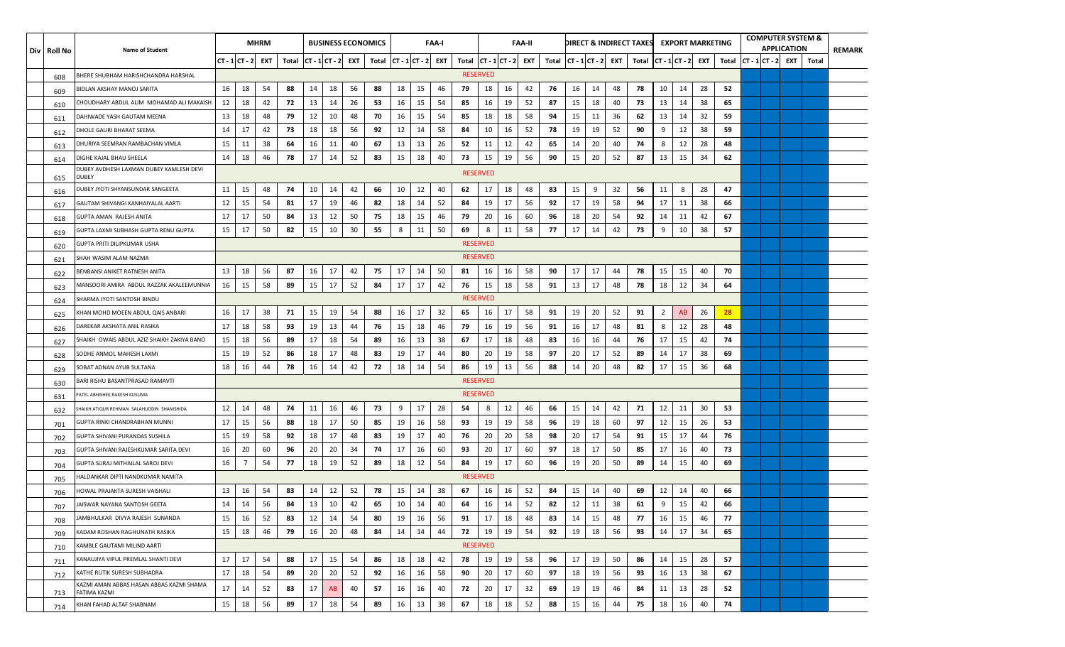| Div   Roll No | <b>Name of Student</b>                                   |                      |    | <b>MHRM</b> |       |    | <b>BUSINESS ECONOMICS</b> |     |                             |    |    | <b>FAA-I</b> |                             |                 |    | <b>FAA-II</b> |                         |    |    |     | DIRECT & INDIRECT TAXES |                | <b>EXPORT MARKETING</b> |     |       |                   | <b>COMPUTER SYSTEM &amp;</b><br><b>APPLICATION</b> |       | <b>REMARK</b> |
|---------------|----------------------------------------------------------|----------------------|----|-------------|-------|----|---------------------------|-----|-----------------------------|----|----|--------------|-----------------------------|-----------------|----|---------------|-------------------------|----|----|-----|-------------------------|----------------|-------------------------|-----|-------|-------------------|----------------------------------------------------|-------|---------------|
|               |                                                          | $CT - 1 CT - 2 $ EXT |    |             | Total |    | $CT - 1CT - 2$            | EXT | Total $ CT - 1 CT - 2 $ EXT |    |    |              | Total $ CT - 1 CT - 2 $ EXT |                 |    |               | Total $ CT - 1 CT - 2 $ |    |    | EXT | Total $ CT - 1 CT - 2 $ |                |                         | EXT | Total | $ CT - 1 CT - 2 $ | EXT                                                | Total |               |
| 608           | 3HERE SHUBHAM HARISHCHANDRA HARSHAL                      |                      |    |             |       |    |                           |     |                             |    |    |              | <b>RESERVED</b>             |                 |    |               |                         |    |    |     |                         |                |                         |     |       |                   |                                                    |       |               |
| 609           | BIDLAN AKSHAY MANOJ SARITA                               | 16                   | 18 | 54          | 88    | 14 | 18                        | 56  | 88                          | 18 | 15 | 46           | 79                          | 18              | 16 | 42            | 76                      | 16 | 14 | 48  | 78                      | 10             | 14                      | 28  | 52    |                   |                                                    |       |               |
| 610           | CHOUDHARY ABDUL ALIM MOHAMAD ALI MAKAISH                 | 12                   | 18 | 42          | 72    | 13 | 14                        | 26  | 53                          | 16 | 15 | 54           | 85                          | 16              | 19 | 52            | 87                      | 15 | 18 | 40  | 73                      | 13             | 14                      | 38  | 65    |                   |                                                    |       |               |
| 611           | DAHIWADE YASH GAUTAM MEENA                               | 13                   | 18 | 48          | 79    | 12 | 10                        | 48  | 70                          | 16 | 15 | -54          | 85                          | 18              | 18 | 58            | 94                      | 15 | 11 | 36  | 62                      | 13             | 14                      | 32  | 59    |                   |                                                    |       |               |
| 612           | DHOLE GAURI BHARAT SEEMA                                 | 14                   | 17 | 42          | 73    | 18 | 18                        | 56  | 92                          | 12 | 14 | 58           | 84                          | 10              | 16 | 52            | 78                      | 19 | 19 | 52  | 90                      | 9              | 12                      | 38  | 59    |                   |                                                    |       |               |
| 613           | DHURIYA SEEMRAN RAMBACHAN VIMLA                          | 15                   | 11 | 38          | 64    | 16 | 11                        | 40  | 67                          | 13 | 13 | 26           | 52                          | 11              | 12 | 42            | 65                      | 14 | 20 | 40  | 74                      | 8              | 12                      | 28  | 48    |                   |                                                    |       |               |
| 614           | DIGHE KAJAL BHAU SHEELA                                  | 14                   | 18 | 46          | 78    | 17 | 14                        | 52  | 83                          | 15 | 18 | 40           | 73                          | 15              | 19 | 56            | 90                      | 15 | 20 | 52  | 87                      | 13             | 15                      | 34  | 62    |                   |                                                    |       |               |
| 615           | DUBEY AVDHESH LAXMAN DUBEY KAMLESH DEVI<br><b>DUBEY</b>  |                      |    |             |       |    |                           |     |                             |    |    |              |                             | <b>RESERVED</b> |    |               |                         |    |    |     |                         |                |                         |     |       |                   |                                                    |       |               |
| 616           | DUBEY JYOTI SHYANSUNDAR SANGEETA                         | 11                   | 15 | 48          | 74    | 10 | 14                        | 42  | 66                          | 10 | 12 | 40           | 62                          | 17              | 18 | 48            | 83                      | 15 | 9  | 32  | 56                      | 11             | 8                       | 28  | 47    |                   |                                                    |       |               |
| 617           | GAUTAM SHIVANGI KANHAIYALAL AARTI                        | 12                   | 15 | 54          | 81    | 17 | 19                        | 46  | 82                          | 18 | 14 | 52           | 84                          | 19              | 17 | 56            | 92                      | 17 | 19 | 58  | 94                      | 17             | 11                      | 38  | 66    |                   |                                                    |       |               |
| 618           | GUPTA AMAN RAJESH ANITA                                  | 17                   | 17 | 50          | 84    | 13 | 12                        | 50  | 75                          | 18 | 15 | 46           | 79                          | 20              | 16 | 60            | 96                      | 18 | 20 | 54  | 92                      | 14             | 11                      | 42  | 67    |                   |                                                    |       |               |
| 619           | GUPTA LAXMI SUBHASH GUPTA RENU GUPTA                     | 15                   | 17 | 50          | 82    | 15 | 10                        | 30  | 55                          | 8  | 11 | 50           | 69                          | 8               | 11 | 58            | -77                     | 17 | 14 | 42  | 73                      | 9              | 10                      | 38  | 57    |                   |                                                    |       |               |
| 620           | GUPTA PRITI DILIPKUMAR USHA                              |                      |    |             |       |    |                           |     |                             |    |    |              | <b>RESERVED</b>             |                 |    |               |                         |    |    |     |                         |                |                         |     |       |                   |                                                    |       |               |
| 621           | SHAH WASIM ALAM NAZMA                                    |                      |    |             |       |    |                           |     |                             |    |    |              |                             | <b>RESERVED</b> |    |               |                         |    |    |     |                         |                |                         |     |       |                   |                                                    |       |               |
| 622           | BENBANSI ANIKET RATNESH ANITA                            | 13                   | 18 | 56          | 87    | 16 | 17                        | 42  | 75                          | 17 | 14 | 50           | 81                          | 16              | 16 | 58            | 90                      | 17 | 17 | 44  | 78                      | 15             | 15                      | 40  | 70    |                   |                                                    |       |               |
| 623           | AANSOORI AMIRA ABDUL RAZZAK AKALEEMUNNIA                 | 16                   | 15 | 58          | 89    | 15 | 17                        | 52  | 84                          | 17 | 17 | 42           | 76                          | 15              | 18 | 58            | 91                      | 13 | 17 | 48  | 78                      | 18             | 12                      | 34  | 64    |                   |                                                    |       |               |
| 624           | SHARMA JYOTI SANTOSH BINDU                               |                      |    |             |       |    |                           |     |                             |    |    |              | <b>RESERVED</b>             |                 |    |               |                         |    |    |     |                         |                |                         |     |       |                   |                                                    |       |               |
| 625           | KHAN MOHD MOEEN ABDUL QAIS ANBARI                        | 16                   | 17 | 38          | 71    | 15 | 19                        | 54  | 88                          | 16 | 17 | 32           | 65                          | 16              | 17 | 58            | 91                      | 19 | 20 | 52  | 91                      | $\overline{2}$ | AB                      | 26  | 28    |                   |                                                    |       |               |
| 626           | )AREKAR AKSHATA ANIL RASIKA                              | 17                   | 18 | 58          | 93    | 19 | 13                        | 44  | 76                          | 15 | 18 | 46           | 79                          | 16              | 19 | 56            | 91                      | 16 | 17 | 48  | 81                      | 8              | 12                      | 28  | 48    |                   |                                                    |       |               |
| 627           | SHAIKH OWAIS ABDUL AZIZ SHAIKH ZAKIYA BANO               | 15                   | 18 | 56          | 89    | 17 | 18                        | 54  | 89                          | 16 | 13 | 38           | 67                          | 17              | 18 | 48            | 83                      | 16 | 16 | 44  | 76                      | 17             | 15                      | 42  | 74    |                   |                                                    |       |               |
| 628           | SODHE ANMOL MAHESH LAXMI                                 | 15                   | 19 | 52          | 86    | 18 | 17                        | 48  | 83                          | 19 | 17 | 44           | 80                          | 20              | 19 | 58            | 97                      | 20 | 17 | 52  | 89                      | 14             | 17                      | 38  | 69    |                   |                                                    |       |               |
| 629           | SOBAT ADNAN AYUB SULTANA                                 | 18                   | 16 | 44          | 78    | 16 | 14                        | 42  | 72                          | 18 | 14 | 54           | 86                          | 19              | 13 | 56            | 88                      | 14 | 20 | 48  | 82                      | 17             | 15                      | 36  | 68    |                   |                                                    |       |               |
| 630           | 3ARI RISHU BASANTPRASAD RAMAVTI                          |                      |    |             |       |    |                           |     |                             |    |    |              | <b>RESERVED</b>             |                 |    |               |                         |    |    |     |                         |                |                         |     |       |                   |                                                    |       |               |
| 631           | ATEL ABHISHEK RAKESH KUSUMA                              |                      |    |             |       |    |                           |     |                             |    |    |              |                             | <b>RESERVED</b> |    |               |                         |    |    |     |                         |                |                         |     |       |                   |                                                    |       |               |
| 632           | HAIKH ATIQUR REHMAN SALAHUDDIN SHAMSHIDA                 | 12                   | 14 | 48          | 74    | 11 | 16                        | 46  | 73                          | 9  | 17 | 28           | 54                          | 8               | 12 | 46            | 66                      | 15 | 14 | 42  | 71                      | 12             | 11                      | 30  | 53    |                   |                                                    |       |               |
| 701           | GUPTA RINKI CHANDRABHAN MUNNI                            | 17                   | 15 | 56          | 88    | 18 | 17                        | 50  | 85                          | 19 | 16 | 58           | 93                          | 19              | 19 | 58            | 96                      | 19 | 18 | 60  | 97                      | 12             | 15                      | 26  | 53    |                   |                                                    |       |               |
| 702           | GUPTA SHIVANI PURANDAS SUSHILA                           | 15                   | 19 | 58          | 92    | 18 | 17                        | 48  | 83                          | 19 | 17 | 40           | 76                          | 20              | 20 | 58            | 98                      | 20 | 17 | 54  | 91                      | 15             | 17                      | 44  | 76    |                   |                                                    |       |               |
| 703           | GUPTA SHIVANI RAJESHKUMAR SARITA DEVI                    | 16                   | 20 | 60          | 96    | 20 | 20                        | 34  | 74                          | 17 | 16 | 60           | 93                          | 20              | 17 | -60           | 97                      | 18 | 17 | 50  | 85                      | 17             | 16                      | 40  | 73    |                   |                                                    |       |               |
| 704           | GUPTA SURAJ MITHAILAL SAROJ DEVI                         | 16                   | 7  | 54          | 77    | 18 | 19                        | 52  | 89                          | 18 | 12 | 54           | 84                          | 19              | 17 | 60            | 96                      | 19 | 20 | 50  | 89                      | 14             | 15                      | 40  | 69    |                   |                                                    |       |               |
| 705           | HALDANKAR DIPTI NANDKUMAR NAMITA                         |                      |    |             |       |    |                           |     |                             |    |    |              |                             | <b>RESERVED</b> |    |               |                         |    |    |     |                         |                |                         |     |       |                   |                                                    |       |               |
| 706           | HOWAL PRAJAKTA SURESH VAISHALI                           | 13                   | 16 | 54          | 83    | 14 | 12                        | 52  | 78                          | 15 | 14 | 38           | 67                          | 16              | 16 | 52            | 84                      | 15 | 14 | 40  | 69                      | 12             | 14                      | 40  | 66    |                   |                                                    |       |               |
| 707           | JAISWAR NAYANA SANTOSH GEETA                             | 14                   | 14 | 56          | 84    | 13 | 10                        | 42  | 65                          | 10 | 14 | 40           | 64                          | 16              | 14 | 52            | 82                      | 12 | 11 | 38  | 61                      | 9              | 15                      | 42  | 66    |                   |                                                    |       |               |
| 708           | JAMBHULKAR DIVYA RAJESH SUNANDA                          | 15                   | 16 | 52          | 83    | 12 | 14                        | 54  | 80                          | 19 | 16 | 56           | 91                          | 17              | 18 | 48            | 83                      | 14 | 15 | 48  | 77                      | 16             | 15                      | 46  | 77    |                   |                                                    |       |               |
| 709           | KADAM ROSHAN RAGHUNATH RASIKA                            | 15                   | 18 | 46          | 79    | 16 | 20                        | 48  | 84                          | 14 | 14 | 44           | 72                          | 19              | 19 | 54            | 92                      | 19 | 18 | 56  | 93                      | 14             | 17                      | 34  | 65    |                   |                                                    |       |               |
| 710           | KAMBLE GAUTAMI MILIND AARTI                              |                      |    |             |       |    |                           |     |                             |    |    |              |                             | <b>RESERVED</b> |    |               |                         |    |    |     |                         |                |                         |     |       |                   |                                                    |       |               |
| 711           | KANAUJIYA VIPUL PREMLAL SHANTI DEVI                      | 17                   | 17 | 54          | 88    | 17 | 15                        | 54  | 86                          | 18 | 18 | 42           | 78                          | 19              | 19 | 58            | 96                      | 17 | 19 | 50  | 86                      | 14             | 15                      | 28  | 57    |                   |                                                    |       |               |
| 712           | KATHE RUTIK SURESH SUBHADRA                              | 17                   | 18 | 54          | 89    | 20 | 20                        | 52  | 92                          | 16 | 16 | 58           | 90                          | 20              | 17 | 60            | 97                      | 18 | 19 | 56  | 93                      | 16             | 13                      | 38  | 67    |                   |                                                    |       |               |
| 713           | KAZMI AMAN ABBAS HASAN ABBAS KAZMI SHAMA<br>FATIMA KAZMI | 17                   | 14 | 52          | 83    | 17 | AB                        | 40  | 57                          | 16 | 16 | 40           | 72                          | 20              | 17 | 32            | 69                      | 19 | 19 | 46  | 84                      | 11             | 13                      | 28  | 52    |                   |                                                    |       |               |
| 714           | KHAN FAHAD ALTAF SHABNAM                                 | 15                   | 18 | 56          | 89    | 17 | 18                        | 54  | 89                          | 16 | 13 | 38           | 67                          | 18              | 18 | 52            | 88                      | 15 | 16 | 44  | 75                      | 18             | 16                      | 40  | 74    |                   |                                                    |       |               |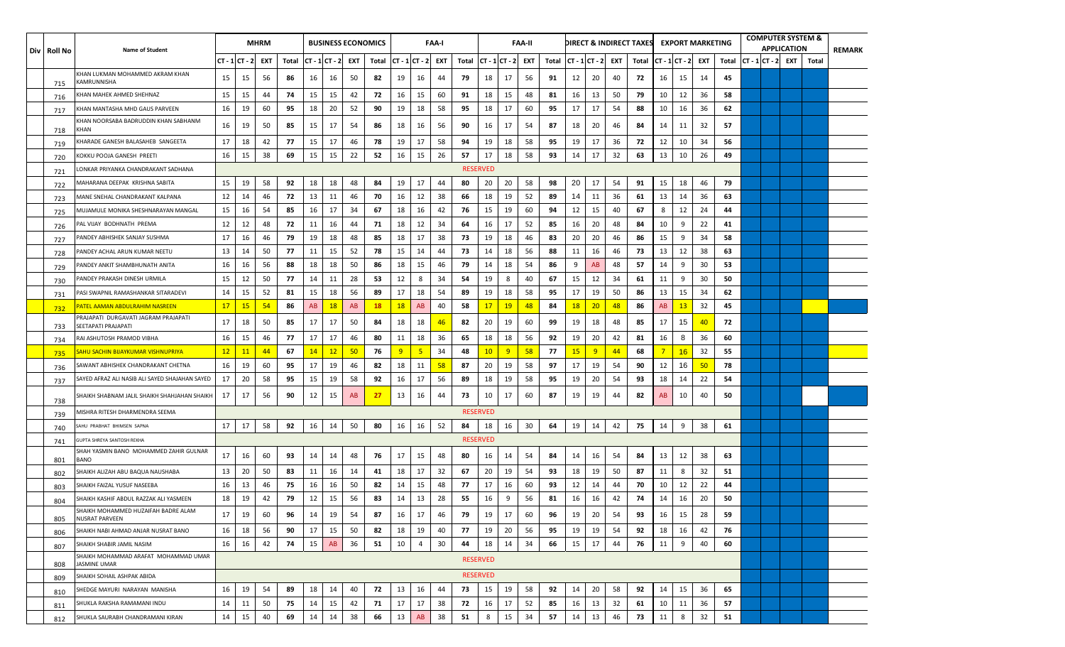| Div   Roll No | <b>Name of Student</b>                                      |                  |           | <b>MHRM</b> |       |               |           |     | <b>BUSINESS ECONOMICS</b> |                |    | FAA-I |       |                 |               | <b>FAA-II</b> |       |                     |    |    | DIRECT & INDIRECT TAXES |                |               | <b>EXPORT MARKETING</b> |       |                | <b>COMPUTER SYSTEM &amp;</b><br><b>APPLICATION</b> |       | REMARK |
|---------------|-------------------------------------------------------------|------------------|-----------|-------------|-------|---------------|-----------|-----|---------------------------|----------------|----|-------|-------|-----------------|---------------|---------------|-------|---------------------|----|----|-------------------------|----------------|---------------|-------------------------|-------|----------------|----------------------------------------------------|-------|--------|
|               |                                                             | $CT - 1 CT - 2 $ |           | EXT         | Total | CT - 1 CT - 2 |           | EXT | Total                     | $CT - 1CT - 2$ |    | EXT   | Total |                 | CT - 1 CT - 2 | EXT           | Total | CT - 1  CT - 2  EXT |    |    | Total                   |                | CT - 1 CT - 2 | EXT                     | Total | $CT - 1CT - 2$ | EXT                                                | Total |        |
| 715           | KHAN LUKMAN MOHAMMED AKRAM KHAN<br>KAMRUNNISHA              | 15               | 15        | 56          | 86    | 16            | 16        | 50  | 82                        | 19             | 16 | 44    | 79    | 18              | 17            | 56            | 91    | 12                  | 20 | 40 | 72                      | 16             | 15            | 14                      | 45    |                |                                                    |       |        |
| 716           | KHAN MAHEK AHMED SHEHNAZ                                    | 15               | 15        | 44          | 74    | 15            | 15        | 42  | 72                        | 16             | 15 | 60    | 91    | 18              | 15            | 48            | 81    | 16                  | 13 | 50 | 79                      | 10             | 12            | 36                      | 58    |                |                                                    |       |        |
| 717           | KHAN MANTASHA MHD GAUS PARVEEN                              | 16               | 19        | 60          | 95    | 18            | 20        | 52  | 90                        | 19             | 18 | 58    | 95    | 18              | 17            | 60            | 95    | 17                  | 17 | 54 | 88                      | 10             | 16            | -36                     | 62    |                |                                                    |       |        |
| 718           | KHAN NOORSABA BADRUDDIN KHAN SABHANM<br>KHAN                | 16               | 19        | 50          | 85    | 15            | 17        | 54  | 86                        | 18             | 16 | 56    | 90    | 16              | 17            | 54            | 87    | 18                  | 20 | 46 | 84                      | 14             | 11            | 32                      | 57    |                |                                                    |       |        |
| 719           | KHARADE GANESH BALASAHEB SANGEETA                           | 17               | 18        | 42          | 77    | 15            | 17        | 46  | 78                        | 19             | 17 | 58    | 94    | 19              | 18            | 58            | 95    | 19                  | 17 | 36 | 72                      | 12             | 10            | 34                      | 56    |                |                                                    |       |        |
| 720           | KOKKU POOJA GANESH PREETI                                   | 16               | 15        | 38          | 69    | 15            | 15        | 22  | 52                        | 16             | 15 | 26    | 57    | 17              | 18            | 58            | 93    | 14                  | 17 | 32 | 63                      | 13             | 10            | 26                      | 49    |                |                                                    |       |        |
| 721           | ONKAR PRIYANKA CHANDRAKANT SADHANA                          |                  |           |             |       |               |           |     |                           |                |    |       |       | <b>RESERVED</b> |               |               |       |                     |    |    |                         |                |               |                         |       |                |                                                    |       |        |
| 722           | VIAHARANA DEEPAK KRISHNA SABITA                             | 15               | 19        | 58          | 92    | 18            | 18        | 48  | 84                        | 19             | 17 | 44    | 80    | 20              | 20            | 58            | 98    | 20                  | 17 | 54 | 91                      | 15             | 18            | 46                      | 79    |                |                                                    |       |        |
| 723           | MANE SNEHAL CHANDRAKANT KALPANA                             | 12               | 14        | 46          | 72    | 13            | 11        | 46  | 70                        | 16             | 12 | 38    | 66    | 18              | 19            | 52            | 89    | 14                  | 11 | 36 | 61                      | 13             | 14            | 36                      | 63    |                |                                                    |       |        |
| 725           | MUJAMULE MONIKA SHESHNARAYAN MANGAL                         | 15               | 16        | 54          | 85    | 16            | 17        | 34  | 67                        | 18             | 16 | 42    | 76    | 15              | 19            | 60            | 94    | 12                  | 15 | 40 | 67                      | 8              | 12            | 24                      | 44    |                |                                                    |       |        |
| 726           | PAL VIJAY BODHNATH PREMA                                    | 12               | 12        | 48          | 72    | 11            | 16        | 44  | 71                        | 18             | 12 | 34    | 64    | 16              | 17            | 52            | 85    | 16                  | 20 | 48 | 84                      | 10             | 9             | 22                      | 41    |                |                                                    |       |        |
| 727           | PANDEY ABHISHEK SANJAY SUSHMA                               | 17               | 16        | 46          | 79    | 19            | 18        | 48  | 85                        | 18             | 17 | 38    | 73    | 19              | 18            | 46            | 83    | 20                  | 20 | 46 | 86                      | 15             | 9             | 34                      | 58    |                |                                                    |       |        |
| 728           | PANDEY ACHAL ARUN KUMAR NEETU                               | 13               | 14        | 50          | 77    | 11            | 15        | 52  | 78                        | 15             | 14 | 44    | 73    | 14              | 18            | 56            | 88    | 11                  | 16 | 46 | 73                      | 13             | 12            | 38                      | 63    |                |                                                    |       |        |
| 729           | ANDEY ANKIT SHAMBHUNATH ANITA                               | 16               | 16        | 56          | 88    | 18            | 18        | 50  | 86                        | 18             | 15 | 46    | 79    | 14              | 18            | 54            | 86    | 9                   | AB | 48 | 57                      | 14             | 9             | 30                      | 53    |                |                                                    |       |        |
| 730           | ANDEY PRAKASH DINESH URMILA                                 | 15               | -12       | 50          | 77    | 14            | 11        | 28  | 53                        | 12             | 8  | 34    | 54    | 19              | 8             | 40            | 67    | 15                  | 12 | 34 | 61                      | 11             | 9             | 30                      | 50    |                |                                                    |       |        |
| 731           | PASI SWAPNIL RAMASHANKAR SITARADEVI                         | 14               | 15        | 52          | 81    | 15            | 18        | 56  | 89                        | 17             | 18 | 54    | 89    | 19              | 18            | 58            | 95    | 17                  | 19 | 50 | 86                      | 13             | 15            | 34                      | 62    |                |                                                    |       |        |
| 732           | <u>PATEL AAMAN ABDULRAHIM NASREEN</u>                       | 17               | <b>15</b> | 54          | 86    | <b>AB</b>     | <b>18</b> | AB  | <b>18</b>                 | <b>18</b>      | AB | 40    | 58    | 17              | <b>19</b>     | 48            | 84    | <b>18</b>           | 20 | 48 | 86                      | AB             | 13            | 32                      | 45    |                |                                                    |       |        |
| 733           | PRAJAPATI DURGAVATI JAGRAM PRAJAPATI<br>SEETAPATI PRAJAPATI | 17               | 18        | 50          | 85    | 17            | 17        | 50  | 84                        | 18             | 18 | 46    | 82    | 20              | 19            | 60            | 99    | 19                  | 18 | 48 | 85                      | 17             | 15            | 40                      | 72    |                |                                                    |       |        |
| 734           | RAI ASHUTOSH PRAMOD VIBHA                                   | 16               | 15        | 46          | 77    | 17            | 17        | 46  | 80                        | 11             | 18 | 36    | 65    | 18              | 18            | 56            | 92    | 19                  | 20 | 42 | 81                      | 16             | 8             | 36                      | 60    |                |                                                    |       |        |
| 735           | <u>SAHU SACHIN BIJAYKUMAR VISHNUPRIYA</u>                   | 12               | 11        | 44          | 67    | 14            | 12        | 50  | 76                        | 9              | 5  | 34    | 48    | 10 <sup>°</sup> | 9             | 58            | 77    | <b>15</b>           | 9  | 44 | 68                      | $\overline{7}$ | 16            | 32                      | 55    |                |                                                    |       |        |
| 736           | SAWANT ABHISHEK CHANDRAKANT CHETNA                          | 16               | 19        | 60          | 95    | 17            | 19        | 46  | 82                        | 18             | 11 | 58    | 87    | 20              | 19            | 58            | 97    | 17                  | 19 | 54 | 90                      | 12             | 16            | 50                      | 78    |                |                                                    |       |        |
| 737           | SAYED AFRAZ ALI NASIB ALI SAYED SHAJAHAN SAYED              | 17               | 20        | 58          | 95    | 15            | 19        | 58  | 92                        | 16             | 17 | 56    | 89    | 18              | 19            | 58            | 95    | 19                  | 20 | 54 | 93                      | 18             | 14            | 22                      | 54    |                |                                                    |       |        |
| 738           | HAIKH SHABNAM JALIL SHAIKH SHAHJAHAN SHAIKH                 | 17               | 17        | 56          | 90    | 12            | 15        | AB  | 27                        | 13             | 16 | 44    | 73    | 10              | 17            | 60            | 87    | 19                  | 19 | 44 | 82                      | AB             | 10            | 40                      | 50    |                |                                                    |       |        |
| 739           | MISHRA RITESH DHARMENDRA SEEMA                              |                  |           |             |       |               |           |     |                           |                |    |       |       | <b>RESERVED</b> |               |               |       |                     |    |    |                         |                |               |                         |       |                |                                                    |       |        |
| 740           | SAHU PRABHAT BHIMSEN SAPNA                                  | 17               | 17        | 58          | 92    | 16            | 14        | 50  | 80                        | 16             | 16 | 52    | 84    | 18              | 16            | 30            | 64    | 19                  | 14 | 42 | 75                      | 14             | 9             | 38                      | 61    |                |                                                    |       |        |
| 741           | SUPTA SHREYA SANTOSH REKHA                                  |                  |           |             |       |               |           |     |                           |                |    |       |       | <b>RESERVED</b> |               |               |       |                     |    |    |                         |                |               |                         |       |                |                                                    |       |        |
| 801           | SHAH YASMIN BANO MOHAMMED ZAHIR GULNAR<br>BANO              | 17               | 16        | 60          | 93    | 14            | 14        | 48  | 76                        | 17             | 15 | 48    | 80    | 16              | 14            | 54            | 84    | 14                  | 16 | 54 | 84                      | 13             | 12            | 38                      | 63    |                |                                                    |       |        |
| 802           | SHAIKH ALIZAH ABU BAQUA NAUSHABA                            | 13               | 20        | 50          | 83    | 11            | 16        | 14  | 41                        | 18             | 17 | 32    | 67    | 20              | 19            | 54            | 93    | 18                  | 19 | 50 | 87                      | 11             | 8             | 32                      | 51    |                |                                                    |       |        |
| 803           | SHAIKH FAIZAL YUSUF NASEEBA                                 | 16               | -13       | 46          | 75    | 16            | 16        | 50  | 82                        | 14             | 15 | 48    | 77    | 17              | 16            | 60            | 93    | 12                  | 14 | 44 | 70                      | 10             | 12            | 22                      | 44    |                |                                                    |       |        |
| 804           | SHAIKH KASHIF ABDUL RAZZAK ALI YASMEEN                      | 18               | 19        | 42          | 79    | 12            | 15        | 56  | 83                        | 14             | 13 | 28    | 55    | 16              | 9             | 56            | 81    | 16                  | 16 | 42 | 74                      | 14             | 16            | 20                      | 50    |                |                                                    |       |        |
| 805           | SHAIKH MOHAMMED HUZAIFAH BADRE ALAM<br>NUSRAT PARVEEN       | 17               | 19        | 60          | 96    | 14            | 19        | 54  | 87                        | 16             | 17 | 46    | 79    | 19              | 17            | 60            | 96    | 19                  | 20 | 54 | 93                      | 16             | 15            | 28                      | 59    |                |                                                    |       |        |
| 806           | SHAIKH NABI AHMAD ANJAR NUSRAT BANO                         | 16               | 18        | 56          | 90    | 17            | 15        | 50  | 82                        | 18             | 19 | 40    | 77    | 19              | 20            | 56            | 95    | 19                  | 19 | 54 | 92                      | 18             | 16            | 42                      | 76    |                |                                                    |       |        |
| 807           | SHAIKH SHABIR JAMIL NASIM                                   | 16               | 16        | 42          | 74    | 15            | AB        | 36  | 51                        | 10             | 4  | 30    | 44    | 18              | 14            | 34            | 66    | 15                  | 17 | 44 | 76                      | 11             | 9             | 40                      | 60    |                |                                                    |       |        |
| 808           | SHAIKH MOHAMMAD ARAFAT MOHAMMAD UMAR<br><b>JASMINE UMAR</b> |                  |           |             |       |               |           |     |                           |                |    |       |       | <b>RESERVED</b> |               |               |       |                     |    |    |                         |                |               |                         |       |                |                                                    |       |        |
| 809           | SHAIKH SOHAIL ASHPAK ABIDA                                  |                  |           |             |       |               |           |     |                           |                |    |       |       | <b>RESERVED</b> |               |               |       |                     |    |    |                         |                |               |                         |       |                |                                                    |       |        |
| 810           | SHEDGE MAYURI NARAYAN MANISHA                               | 16               | 19        | 54          | 89    | 18            | 14        | 40  | 72                        | 13             | 16 | 44    | 73    | 15              | 19            | 58            | 92    | 14                  | 20 | 58 | 92                      | 14             | 15            | 36                      | 65    |                |                                                    |       |        |
| 811           | SHUKLA RAKSHA RAMAMANI INDU                                 | 14               | 11        | 50          | 75    | 14            | 15        | 42  | 71                        | 17             | 17 | 38    | 72    | 16              | 17            | 52            | 85    | 16                  | 13 | 32 | 61                      | 10             | 11            | 36                      | 57    |                |                                                    |       |        |
| 812           | SHUKLA SAURABH CHANDRAMANI KIRAN                            | 14               | 15        | 40          | 69    | 14            | 14        | 38  | 66                        | 13             | AB | 38    | 51    | 8               | 15            | 34            | 57    | 14                  | 13 | 46 | 73                      | 11             | 8             | 32                      | 51    |                |                                                    |       |        |